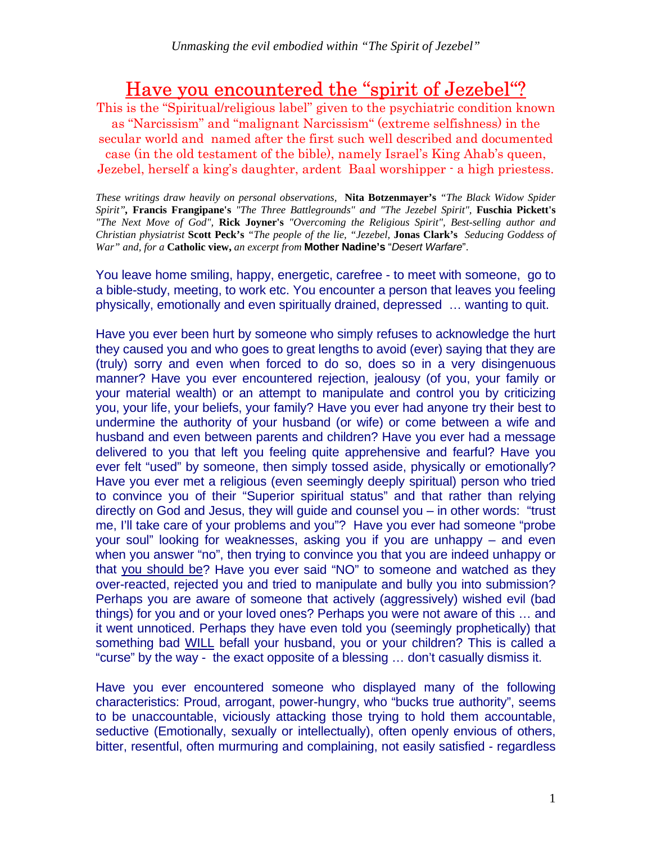# Have you encountered the "spirit of Jezebel"?<br>This is the "Spiritual/religious label" given to the psychiatric condition known

as "Narcissism" and "malignant Narcissism" (extreme selfishness) in the secular world and named after the first such well described and documented case (in the old testament of the bible), namely Israel's King Ahab's queen, Jezebel, herself a king's daughter, ardent Baal worshipper - a high priestess.

*These writings draw heavily on personal observations,* **Nita Botzenmayer's** *"The Black Widow Spider Spirit",* **Francis Frangipane's** *"The Three Battlegrounds" and "The Jezebel Spirit",* **Fuschia Pickett's** *"The Next Move of God",* **Rick Joyner's** *"Overcoming the Religious Spirit", Best-selling author and Christian physiatrist* **Scott Peck's** *"The people of the lie, "Jezebel,* **Jonas Clark's** *Seducing Goddess of War" and, for a* **Catholic view,** *an excerpt from* **Mother Nadine's** "*Desert Warfare*".

You leave home smiling, happy, energetic, carefree - to meet with someone, go to a bible-study, meeting, to work etc. You encounter a person that leaves you feeling physically, emotionally and even spiritually drained, depressed … wanting to quit.

Have you ever been hurt by someone who simply refuses to acknowledge the hurt they caused you and who goes to great lengths to avoid (ever) saying that they are (truly) sorry and even when forced to do so, does so in a very disingenuous manner? Have you ever encountered rejection, jealousy (of you, your family or your material wealth) or an attempt to manipulate and control you by criticizing you, your life, your beliefs, your family? Have you ever had anyone try their best to undermine the authority of your husband (or wife) or come between a wife and husband and even between parents and children? Have you ever had a message delivered to you that left you feeling quite apprehensive and fearful? Have you ever felt "used" by someone, then simply tossed aside, physically or emotionally? Have you ever met a religious (even seemingly deeply spiritual) person who tried to convince you of their "Superior spiritual status" and that rather than relying directly on God and Jesus, they will guide and counsel you – in other words: "trust me, I'll take care of your problems and you"? Have you ever had someone "probe your soul" looking for weaknesses, asking you if you are unhappy – and even when you answer "no", then trying to convince you that you are indeed unhappy or that you should be? Have you ever said "NO" to someone and watched as they over-reacted, rejected you and tried to manipulate and bully you into submission? Perhaps you are aware of someone that actively (aggressively) wished evil (bad things) for you and or your loved ones? Perhaps you were not aware of this … and it went unnoticed. Perhaps they have even told you (seemingly prophetically) that something bad WILL befall your husband, you or your children? This is called a "curse" by the way - the exact opposite of a blessing … don't casually dismiss it.

Have you ever encountered someone who displayed many of the following characteristics: Proud, arrogant, power-hungry, who "bucks true authority", seems to be unaccountable, viciously attacking those trying to hold them accountable, seductive (Emotionally, sexually or intellectually), often openly envious of others, bitter, resentful, often murmuring and complaining, not easily satisfied - regardless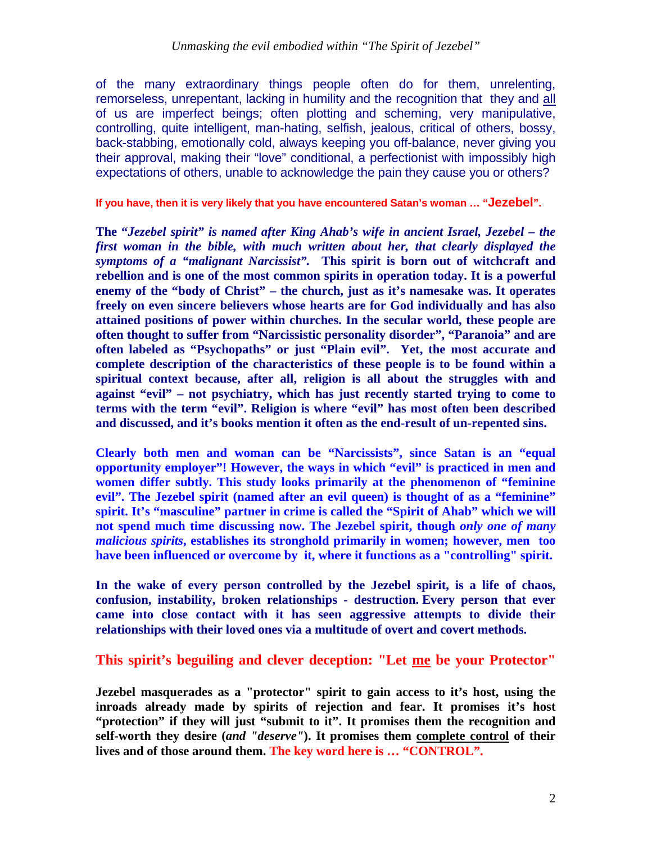of the many extraordinary things people often do for them, unrelenting, remorseless, unrepentant, lacking in humility and the recognition that they and all of us are imperfect beings; often plotting and scheming, very manipulative, controlling, quite intelligent, man-hating, selfish, jealous, critical of others, bossy, back-stabbing, emotionally cold, always keeping you off-balance, never giving you their approval, making their "love" conditional, a perfectionist with impossibly high expectations of others, unable to acknowledge the pain they cause you or others?

**If you have, then it is very likely that you have encountered Satan's woman … "Jezebel".**

**The "***Jezebel spirit" is named after King Ahab's wife in ancient Israel, Jezebel – the first woman in the bible, with much written about her, that clearly displayed the symptoms of a "malignant Narcissist".* **This spirit is born out of witchcraft and rebellion and is one of the most common spirits in operation today. It is a powerful enemy of the "body of Christ" – the church, just as it's namesake was. It operates freely on even sincere believers whose hearts are for God individually and has also attained positions of power within churches. In the secular world, these people are often thought to suffer from "Narcissistic personality disorder", "Paranoia" and are often labeled as "Psychopaths" or just "Plain evil". Yet, the most accurate and complete description of the characteristics of these people is to be found within a spiritual context because, after all, religion is all about the struggles with and against "evil" – not psychiatry, which has just recently started trying to come to terms with the term "evil". Religion is where "evil" has most often been described and discussed, and it's books mention it often as the end-result of un-repented sins.** 

**Clearly both men and woman can be "Narcissists", since Satan is an "equal opportunity employer"! However, the ways in which "evil" is practiced in men and women differ subtly. This study looks primarily at the phenomenon of "feminine**  evil". The Jezebel spirit (named after an evil queen) is thought of as a "feminine" **spirit. It's "masculine" partner in crime is called the "Spirit of Ahab" which we will not spend much time discussing now. The Jezebel spirit, though** *only one of many malicious spirits***, establishes its stronghold primarily in women; however, men too have been influenced or overcome by it, where it functions as a "controlling" spirit.**

**In the wake of every person controlled by the Jezebel spirit, is a life of chaos, confusion, instability, broken relationships - destruction. Every person that ever came into close contact with it has seen aggressive attempts to divide their relationships with their loved ones via a multitude of overt and covert methods.** 

#### **This spirit's beguiling and clever deception: "Let me be your Protector"**

**Jezebel masquerades as a "protector" spirit to gain access to it's host, using the inroads already made by spirits of rejection and fear. It promises it's host "protection" if they will just "submit to it". It promises them the recognition and self-worth they desire (***and "deserve"***). It promises them complete control of their lives and of those around them. The key word here is … "CONTROL".**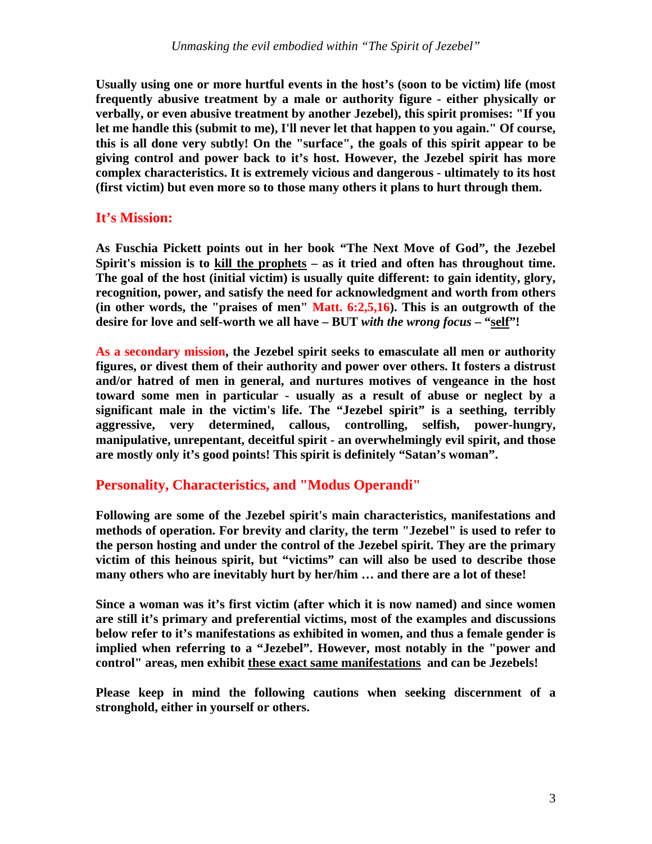**Usually using one or more hurtful events in the host's (soon to be victim) life (most frequently abusive treatment by a male or authority figure - either physically or verbally, or even abusive treatment by another Jezebel), this spirit promises: "If you let me handle this (submit to me), I'll never let that happen to you again." Of course, this is all done very subtly! On the "surface", the goals of this spirit appear to be giving control and power back to it's host. However, the Jezebel spirit has more complex characteristics. It is extremely vicious and dangerous - ultimately to its host (first victim) but even more so to those many others it plans to hurt through them.**

## **It's Mission:**

**As Fuschia Pickett points out in her book "The Next Move of God", the Jezebel Spirit's mission is to kill the prophets – as it tried and often has throughout time. The goal of the host (initial victim) is usually quite different: to gain identity, glory, recognition, power, and satisfy the need for acknowledgment and worth from others (in other words, the "praises of men" Matt. 6:2,5,16). This is an outgrowth of the desire for love and self-worth we all have – BUT** *with the wrong focus* **– "self"!** 

**As a secondary mission, the Jezebel spirit seeks to emasculate all men or authority figures, or divest them of their authority and power over others. It fosters a distrust and/or hatred of men in general, and nurtures motives of vengeance in the host toward some men in particular - usually as a result of abuse or neglect by a significant male in the victim's life. The "Jezebel spirit" is a seething, terribly aggressive, very determined, callous, controlling, selfish, power-hungry, manipulative, unrepentant, deceitful spirit - an overwhelmingly evil spirit, and those are mostly only it's good points! This spirit is definitely "Satan's woman".** 

## **Personality, Characteristics, and "Modus Operandi"**

**Following are some of the Jezebel spirit's main characteristics, manifestations and methods of operation. For brevity and clarity, the term "Jezebel" is used to refer to the person hosting and under the control of the Jezebel spirit. They are the primary victim of this heinous spirit, but "victims" can will also be used to describe those many others who are inevitably hurt by her/him … and there are a lot of these!**

**Since a woman was it's first victim (after which it is now named) and since women are still it's primary and preferential victims, most of the examples and discussions below refer to it's manifestations as exhibited in women, and thus a female gender is implied when referring to a "Jezebel". However, most notably in the "power and control" areas, men exhibit these exact same manifestations and can be Jezebels!** 

**Please keep in mind the following cautions when seeking discernment of a stronghold, either in yourself or others.**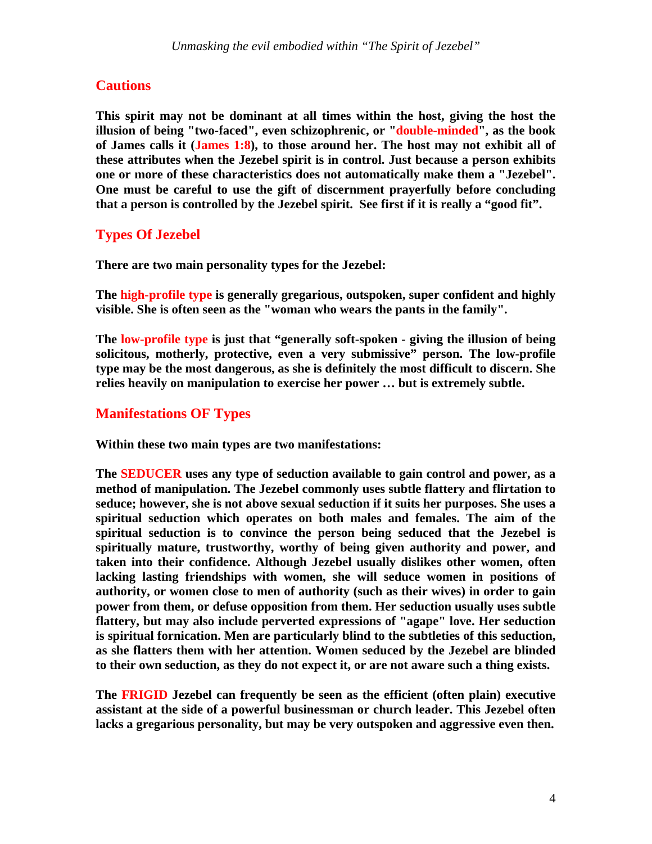## **Cautions**

**This spirit may not be dominant at all times within the host, giving the host the illusion of being "two-faced", even schizophrenic, or "double-minded", as the book of James calls it (James 1:8), to those around her. The host may not exhibit all of these attributes when the Jezebel spirit is in control. Just because a person exhibits one or more of these characteristics does not automatically make them a "Jezebel". One must be careful to use the gift of discernment prayerfully before concluding that a person is controlled by the Jezebel spirit. See first if it is really a "good fit".**

## **Types Of Jezebel**

**There are two main personality types for the Jezebel:** 

**The high-profile type is generally gregarious, outspoken, super confident and highly visible. She is often seen as the "woman who wears the pants in the family".** 

**The low-profile type is just that "generally soft-spoken - giving the illusion of being solicitous, motherly, protective, even a very submissive" person. The low-profile type may be the most dangerous, as she is definitely the most difficult to discern. She relies heavily on manipulation to exercise her power … but is extremely subtle.** 

## **Manifestations OF Types**

**Within these two main types are two manifestations:** 

**The SEDUCER uses any type of seduction available to gain control and power, as a method of manipulation. The Jezebel commonly uses subtle flattery and flirtation to seduce; however, she is not above sexual seduction if it suits her purposes. She uses a spiritual seduction which operates on both males and females. The aim of the spiritual seduction is to convince the person being seduced that the Jezebel is spiritually mature, trustworthy, worthy of being given authority and power, and taken into their confidence. Although Jezebel usually dislikes other women, often lacking lasting friendships with women, she will seduce women in positions of authority, or women close to men of authority (such as their wives) in order to gain power from them, or defuse opposition from them. Her seduction usually uses subtle flattery, but may also include perverted expressions of "agape" love. Her seduction is spiritual fornication. Men are particularly blind to the subtleties of this seduction, as she flatters them with her attention. Women seduced by the Jezebel are blinded to their own seduction, as they do not expect it, or are not aware such a thing exists.**

**The FRIGID Jezebel can frequently be seen as the efficient (often plain) executive assistant at the side of a powerful businessman or church leader. This Jezebel often lacks a gregarious personality, but may be very outspoken and aggressive even then.**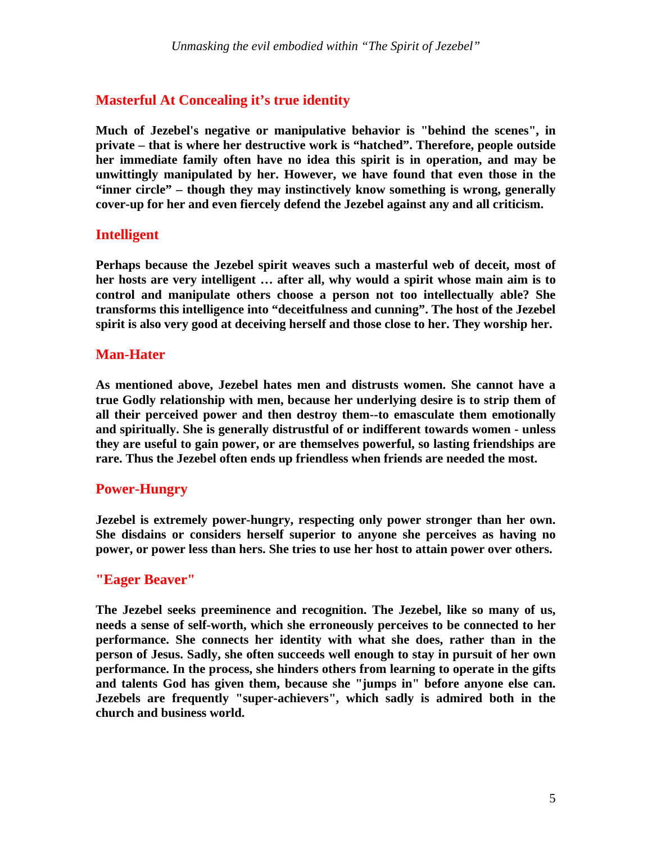## **Masterful At Concealing it's true identity**

**Much of Jezebel's negative or manipulative behavior is "behind the scenes", in private – that is where her destructive work is "hatched". Therefore, people outside her immediate family often have no idea this spirit is in operation, and may be unwittingly manipulated by her. However, we have found that even those in the "inner circle" – though they may instinctively know something is wrong, generally cover-up for her and even fiercely defend the Jezebel against any and all criticism.**

#### **Intelligent**

**Perhaps because the Jezebel spirit weaves such a masterful web of deceit, most of her hosts are very intelligent … after all, why would a spirit whose main aim is to control and manipulate others choose a person not too intellectually able? She transforms this intelligence into "deceitfulness and cunning". The host of the Jezebel spirit is also very good at deceiving herself and those close to her. They worship her.** 

#### **Man-Hater**

**As mentioned above, Jezebel hates men and distrusts women. She cannot have a true Godly relationship with men, because her underlying desire is to strip them of all their perceived power and then destroy them--to emasculate them emotionally and spiritually. She is generally distrustful of or indifferent towards women - unless they are useful to gain power, or are themselves powerful, so lasting friendships are rare. Thus the Jezebel often ends up friendless when friends are needed the most.** 

## **Power-Hungry**

**Jezebel is extremely power-hungry, respecting only power stronger than her own. She disdains or considers herself superior to anyone she perceives as having no power, or power less than hers. She tries to use her host to attain power over others.**

#### **"Eager Beaver"**

**The Jezebel seeks preeminence and recognition. The Jezebel, like so many of us, needs a sense of self-worth, which she erroneously perceives to be connected to her performance. She connects her identity with what she does, rather than in the person of Jesus. Sadly, she often succeeds well enough to stay in pursuit of her own performance. In the process, she hinders others from learning to operate in the gifts and talents God has given them, because she "jumps in" before anyone else can. Jezebels are frequently "super-achievers", which sadly is admired both in the church and business world.**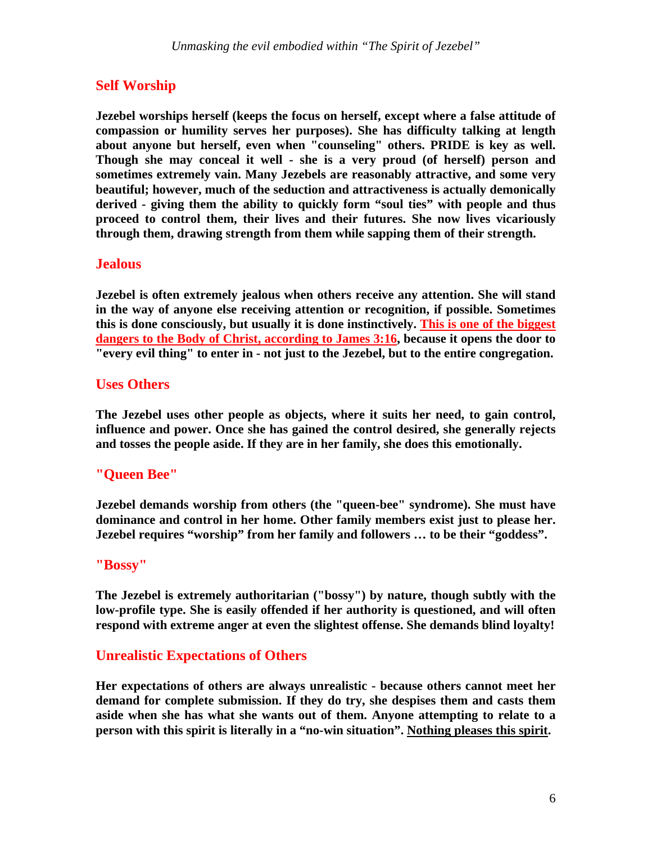## **Self Worship**

**Jezebel worships herself (keeps the focus on herself, except where a false attitude of compassion or humility serves her purposes). She has difficulty talking at length about anyone but herself, even when "counseling" others. PRIDE is key as well. Though she may conceal it well - she is a very proud (of herself) person and sometimes extremely vain. Many Jezebels are reasonably attractive, and some very beautiful; however, much of the seduction and attractiveness is actually demonically derived - giving them the ability to quickly form "soul ties" with people and thus proceed to control them, their lives and their futures. She now lives vicariously through them, drawing strength from them while sapping them of their strength.**

## **Jealous**

**Jezebel is often extremely jealous when others receive any attention. She will stand in the way of anyone else receiving attention or recognition, if possible. Sometimes this is done consciously, but usually it is done instinctively. This is one of the biggest dangers to the Body of Christ, according to James 3:16, because it opens the door to "every evil thing" to enter in - not just to the Jezebel, but to the entire congregation.** 

## **Uses Others**

**The Jezebel uses other people as objects, where it suits her need, to gain control, influence and power. Once she has gained the control desired, she generally rejects and tosses the people aside. If they are in her family, she does this emotionally.** 

## **"Queen Bee"**

**Jezebel demands worship from others (the "queen-bee" syndrome). She must have dominance and control in her home. Other family members exist just to please her. Jezebel requires "worship" from her family and followers … to be their "goddess".** 

## **"Bossy"**

**The Jezebel is extremely authoritarian ("bossy") by nature, though subtly with the low-profile type. She is easily offended if her authority is questioned, and will often respond with extreme anger at even the slightest offense. She demands blind loyalty!**

## **Unrealistic Expectations of Others**

**Her expectations of others are always unrealistic - because others cannot meet her demand for complete submission. If they do try, she despises them and casts them aside when she has what she wants out of them. Anyone attempting to relate to a person with this spirit is literally in a "no-win situation". Nothing pleases this spirit.**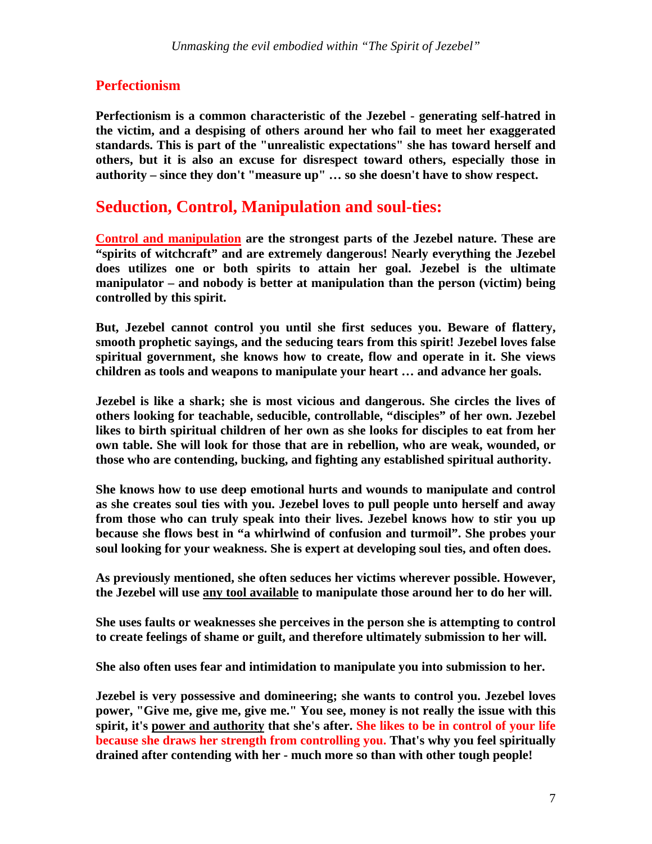## **Perfectionism**

**Perfectionism is a common characteristic of the Jezebel - generating self-hatred in the victim, and a despising of others around her who fail to meet her exaggerated standards. This is part of the "unrealistic expectations" she has toward herself and others, but it is also an excuse for disrespect toward others, especially those in authority – since they don't "measure up" … so she doesn't have to show respect.**

# **Seduction, Control, Manipulation and soul-ties:**

**Control and manipulation are the strongest parts of the Jezebel nature. These are "spirits of witchcraft" and are extremely dangerous! Nearly everything the Jezebel does utilizes one or both spirits to attain her goal. Jezebel is the ultimate manipulator – and nobody is better at manipulation than the person (victim) being controlled by this spirit.** 

**But, Jezebel cannot control you until she first seduces you. Beware of flattery, smooth prophetic sayings, and the seducing tears from this spirit! Jezebel loves false spiritual government, she knows how to create, flow and operate in it. She views children as tools and weapons to manipulate your heart … and advance her goals.** 

**Jezebel is like a shark; she is most vicious and dangerous. She circles the lives of others looking for teachable, seducible, controllable, "disciples" of her own. Jezebel likes to birth spiritual children of her own as she looks for disciples to eat from her own table. She will look for those that are in rebellion, who are weak, wounded, or those who are contending, bucking, and fighting any established spiritual authority.** 

**She knows how to use deep emotional hurts and wounds to manipulate and control as she creates soul ties with you. Jezebel loves to pull people unto herself and away from those who can truly speak into their lives. Jezebel knows how to stir you up because she flows best in "a whirlwind of confusion and turmoil". She probes your soul looking for your weakness. She is expert at developing soul ties, and often does.** 

**As previously mentioned, she often seduces her victims wherever possible. However, the Jezebel will use any tool available to manipulate those around her to do her will.** 

**She uses faults or weaknesses she perceives in the person she is attempting to control to create feelings of shame or guilt, and therefore ultimately submission to her will.** 

**She also often uses fear and intimidation to manipulate you into submission to her.** 

**Jezebel is very possessive and domineering; she wants to control you. Jezebel loves power, "Give me, give me, give me." You see, money is not really the issue with this spirit, it's power and authority that she's after. She likes to be in control of your life because she draws her strength from controlling you. That's why you feel spiritually drained after contending with her - much more so than with other tough people!**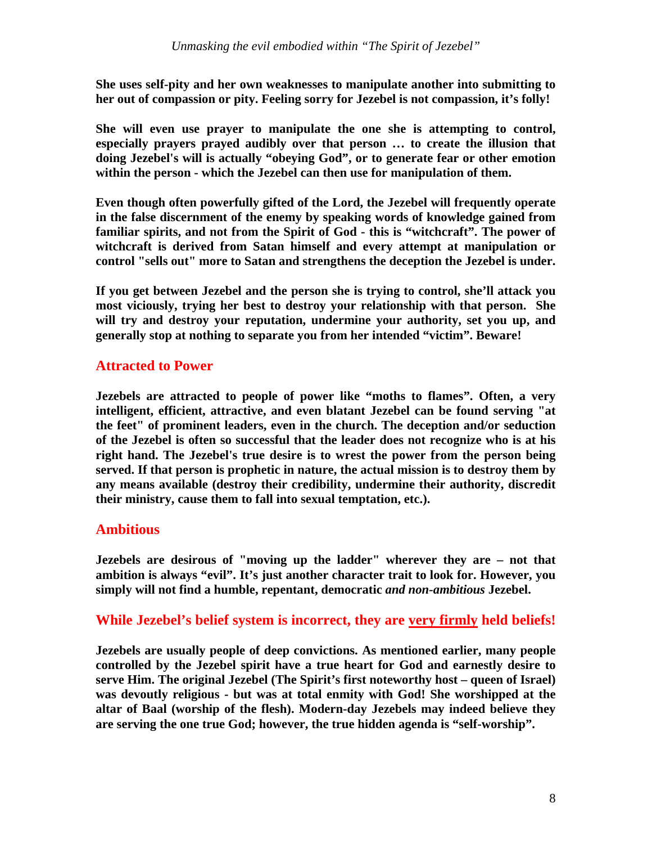**She uses self-pity and her own weaknesses to manipulate another into submitting to her out of compassion or pity. Feeling sorry for Jezebel is not compassion, it's folly!** 

**She will even use prayer to manipulate the one she is attempting to control, especially prayers prayed audibly over that person … to create the illusion that doing Jezebel's will is actually "obeying God", or to generate fear or other emotion within the person - which the Jezebel can then use for manipulation of them.** 

**Even though often powerfully gifted of the Lord, the Jezebel will frequently operate in the false discernment of the enemy by speaking words of knowledge gained from familiar spirits, and not from the Spirit of God - this is "witchcraft". The power of witchcraft is derived from Satan himself and every attempt at manipulation or control "sells out" more to Satan and strengthens the deception the Jezebel is under.** 

**If you get between Jezebel and the person she is trying to control, she'll attack you most viciously, trying her best to destroy your relationship with that person. She will try and destroy your reputation, undermine your authority, set you up, and generally stop at nothing to separate you from her intended "victim". Beware!** 

## **Attracted to Power**

**Jezebels are attracted to people of power like "moths to flames". Often, a very intelligent, efficient, attractive, and even blatant Jezebel can be found serving "at the feet" of prominent leaders, even in the church. The deception and/or seduction of the Jezebel is often so successful that the leader does not recognize who is at his right hand. The Jezebel's true desire is to wrest the power from the person being served. If that person is prophetic in nature, the actual mission is to destroy them by any means available (destroy their credibility, undermine their authority, discredit their ministry, cause them to fall into sexual temptation, etc.).** 

#### **Ambitious**

**Jezebels are desirous of "moving up the ladder" wherever they are – not that ambition is always "evil". It's just another character trait to look for. However, you simply will not find a humble, repentant, democratic** *and non-ambitious* **Jezebel.** 

#### **While Jezebel's belief system is incorrect, they are very firmly held beliefs!**

**Jezebels are usually people of deep convictions. As mentioned earlier, many people controlled by the Jezebel spirit have a true heart for God and earnestly desire to serve Him. The original Jezebel (The Spirit's first noteworthy host – queen of Israel) was devoutly religious - but was at total enmity with God! She worshipped at the altar of Baal (worship of the flesh). Modern-day Jezebels may indeed believe they are serving the one true God; however, the true hidden agenda is "self-worship".**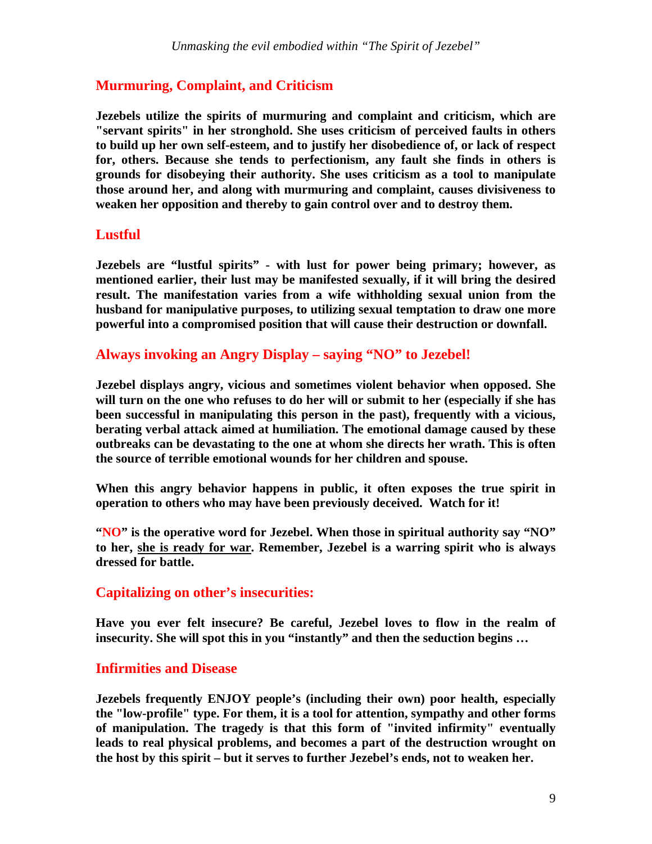## **Murmuring, Complaint, and Criticism**

**Jezebels utilize the spirits of murmuring and complaint and criticism, which are "servant spirits" in her stronghold. She uses criticism of perceived faults in others to build up her own self-esteem, and to justify her disobedience of, or lack of respect for, others. Because she tends to perfectionism, any fault she finds in others is grounds for disobeying their authority. She uses criticism as a tool to manipulate those around her, and along with murmuring and complaint, causes divisiveness to weaken her opposition and thereby to gain control over and to destroy them.**

#### **Lustful**

**Jezebels are "lustful spirits" - with lust for power being primary; however, as mentioned earlier, their lust may be manifested sexually, if it will bring the desired result. The manifestation varies from a wife withholding sexual union from the husband for manipulative purposes, to utilizing sexual temptation to draw one more powerful into a compromised position that will cause their destruction or downfall.** 

#### **Always invoking an Angry Display – saying "NO" to Jezebel!**

**Jezebel displays angry, vicious and sometimes violent behavior when opposed. She will turn on the one who refuses to do her will or submit to her (especially if she has been successful in manipulating this person in the past), frequently with a vicious, berating verbal attack aimed at humiliation. The emotional damage caused by these outbreaks can be devastating to the one at whom she directs her wrath. This is often the source of terrible emotional wounds for her children and spouse.**

**When this angry behavior happens in public, it often exposes the true spirit in operation to others who may have been previously deceived. Watch for it!** 

**"NO" is the operative word for Jezebel. When those in spiritual authority say "NO" to her, she is ready for war. Remember, Jezebel is a warring spirit who is always dressed for battle.** 

#### **Capitalizing on other's insecurities:**

**Have you ever felt insecure? Be careful, Jezebel loves to flow in the realm of insecurity. She will spot this in you "instantly" and then the seduction begins …** 

#### **Infirmities and Disease**

**Jezebels frequently ENJOY people's (including their own) poor health, especially the "low-profile" type. For them, it is a tool for attention, sympathy and other forms of manipulation. The tragedy is that this form of "invited infirmity" eventually leads to real physical problems, and becomes a part of the destruction wrought on the host by this spirit – but it serves to further Jezebel's ends, not to weaken her.**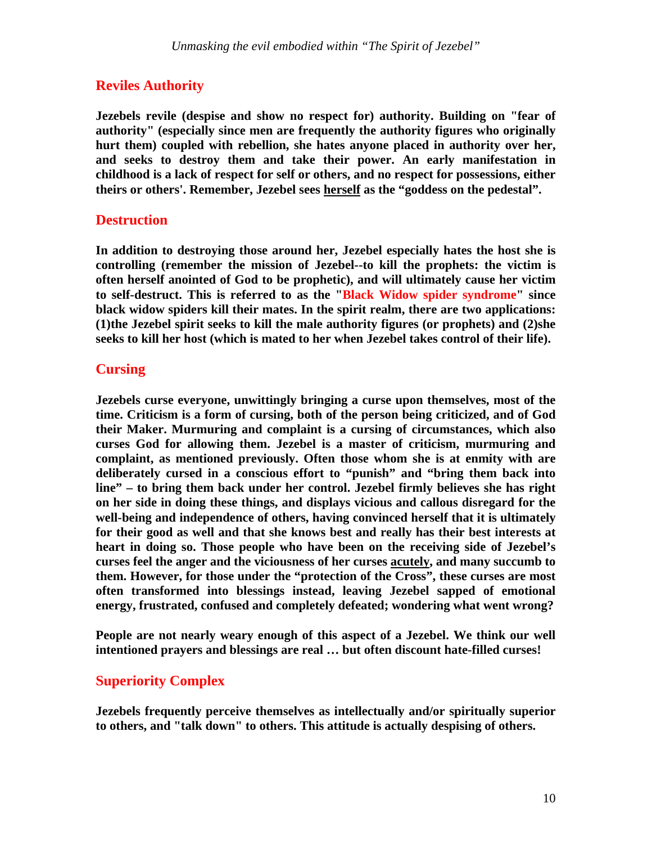## **Reviles Authority**

**Jezebels revile (despise and show no respect for) authority. Building on "fear of authority" (especially since men are frequently the authority figures who originally hurt them) coupled with rebellion, she hates anyone placed in authority over her, and seeks to destroy them and take their power. An early manifestation in childhood is a lack of respect for self or others, and no respect for possessions, either theirs or others'. Remember, Jezebel sees herself as the "goddess on the pedestal".**

#### **Destruction**

**In addition to destroying those around her, Jezebel especially hates the host she is controlling (remember the mission of Jezebel--to kill the prophets: the victim is often herself anointed of God to be prophetic), and will ultimately cause her victim to self-destruct. This is referred to as the "Black Widow spider syndrome" since black widow spiders kill their mates. In the spirit realm, there are two applications: (1)the Jezebel spirit seeks to kill the male authority figures (or prophets) and (2)she seeks to kill her host (which is mated to her when Jezebel takes control of their life).** 

## **Cursing**

**Jezebels curse everyone, unwittingly bringing a curse upon themselves, most of the time. Criticism is a form of cursing, both of the person being criticized, and of God their Maker. Murmuring and complaint is a cursing of circumstances, which also curses God for allowing them. Jezebel is a master of criticism, murmuring and complaint, as mentioned previously. Often those whom she is at enmity with are deliberately cursed in a conscious effort to "punish" and "bring them back into line" – to bring them back under her control. Jezebel firmly believes she has right on her side in doing these things, and displays vicious and callous disregard for the well-being and independence of others, having convinced herself that it is ultimately for their good as well and that she knows best and really has their best interests at heart in doing so. Those people who have been on the receiving side of Jezebel's curses feel the anger and the viciousness of her curses acutely, and many succumb to them. However, for those under the "protection of the Cross", these curses are most often transformed into blessings instead, leaving Jezebel sapped of emotional energy, frustrated, confused and completely defeated; wondering what went wrong?** 

**People are not nearly weary enough of this aspect of a Jezebel. We think our well intentioned prayers and blessings are real … but often discount hate-filled curses!** 

## **Superiority Complex**

**Jezebels frequently perceive themselves as intellectually and/or spiritually superior to others, and "talk down" to others. This attitude is actually despising of others.**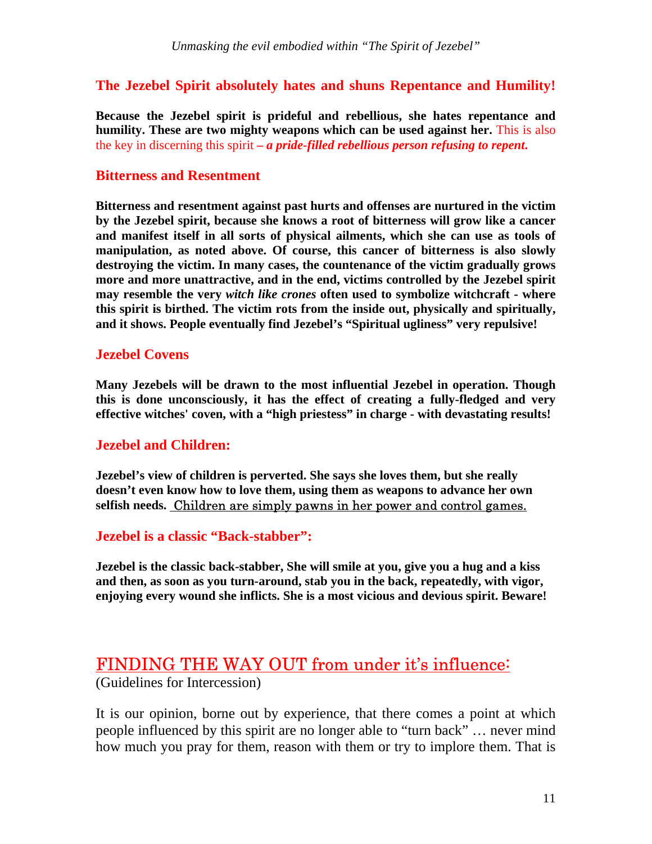#### **The Jezebel Spirit absolutely hates and shuns Repentance and Humility!**

**Because the Jezebel spirit is prideful and rebellious, she hates repentance and humility. These are two mighty weapons which can be used against her.** This is also the key in discerning this spirit **–** *a pride-filled rebellious person refusing to repent***.**

#### **Bitterness and Resentment**

**Bitterness and resentment against past hurts and offenses are nurtured in the victim by the Jezebel spirit, because she knows a root of bitterness will grow like a cancer and manifest itself in all sorts of physical ailments, which she can use as tools of manipulation, as noted above. Of course, this cancer of bitterness is also slowly destroying the victim. In many cases, the countenance of the victim gradually grows more and more unattractive, and in the end, victims controlled by the Jezebel spirit may resemble the very** *witch like crones* **often used to symbolize witchcraft - where this spirit is birthed. The victim rots from the inside out, physically and spiritually, and it shows. People eventually find Jezebel's "Spiritual ugliness" very repulsive!** 

#### **Jezebel Covens**

**Many Jezebels will be drawn to the most influential Jezebel in operation. Though this is done unconsciously, it has the effect of creating a fully-fledged and very effective witches' coven, with a "high priestess" in charge - with devastating results!** 

#### **Jezebel and Children:**

**Jezebel's view of children is perverted. She says she loves them, but she really doesn't even know how to love them, using them as weapons to advance her own selfish needs.** Children are simply pawns in her power and control games.

#### **Jezebel is a classic "Back-stabber":**

**Jezebel is the classic back-stabber, She will smile at you, give you a hug and a kiss and then, as soon as you turn-around, stab you in the back, repeatedly, with vigor, enjoying every wound she inflicts. She is a most vicious and devious spirit. Beware!** 

# FINDING THE WAY OUT from under it's influence:

(Guidelines for Intercession)

It is our opinion, borne out by experience, that there comes a point at which people influenced by this spirit are no longer able to "turn back" … never mind how much you pray for them, reason with them or try to implore them. That is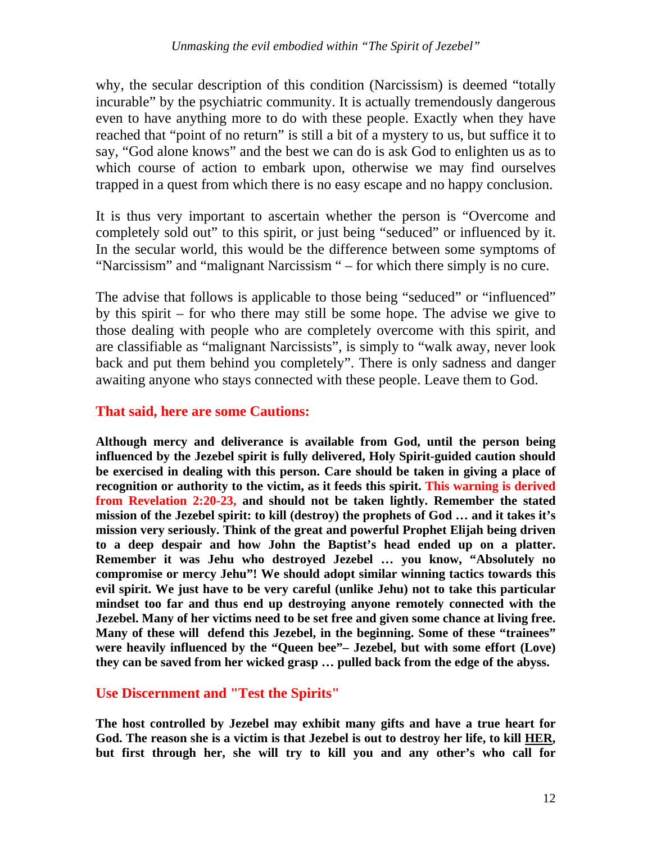why, the secular description of this condition (Narcissism) is deemed "totally incurable" by the psychiatric community. It is actually tremendously dangerous even to have anything more to do with these people. Exactly when they have reached that "point of no return" is still a bit of a mystery to us, but suffice it to say, "God alone knows" and the best we can do is ask God to enlighten us as to which course of action to embark upon, otherwise we may find ourselves trapped in a quest from which there is no easy escape and no happy conclusion.

It is thus very important to ascertain whether the person is "Overcome and completely sold out" to this spirit, or just being "seduced" or influenced by it. In the secular world, this would be the difference between some symptoms of "Narcissism" and "malignant Narcissism " – for which there simply is no cure.

The advise that follows is applicable to those being "seduced" or "influenced" by this spirit – for who there may still be some hope. The advise we give to those dealing with people who are completely overcome with this spirit, and are classifiable as "malignant Narcissists", is simply to "walk away, never look back and put them behind you completely". There is only sadness and danger awaiting anyone who stays connected with these people. Leave them to God.

## **That said, here are some Cautions:**

**Although mercy and deliverance is available from God, until the person being influenced by the Jezebel spirit is fully delivered, Holy Spirit-guided caution should be exercised in dealing with this person. Care should be taken in giving a place of recognition or authority to the victim, as it feeds this spirit. This warning is derived from Revelation 2:20-23, and should not be taken lightly. Remember the stated mission of the Jezebel spirit: to kill (destroy) the prophets of God … and it takes it's mission very seriously. Think of the great and powerful Prophet Elijah being driven to a deep despair and how John the Baptist's head ended up on a platter. Remember it was Jehu who destroyed Jezebel … you know, "Absolutely no compromise or mercy Jehu"! We should adopt similar winning tactics towards this evil spirit. We just have to be very careful (unlike Jehu) not to take this particular mindset too far and thus end up destroying anyone remotely connected with the Jezebel. Many of her victims need to be set free and given some chance at living free. Many of these will defend this Jezebel, in the beginning. Some of these "trainees" were heavily influenced by the "Queen bee"– Jezebel, but with some effort (Love) they can be saved from her wicked grasp … pulled back from the edge of the abyss.** 

## **Use Discernment and "Test the Spirits"**

**The host controlled by Jezebel may exhibit many gifts and have a true heart for God. The reason she is a victim is that Jezebel is out to destroy her life, to kill HER, but first through her, she will try to kill you and any other's who call for**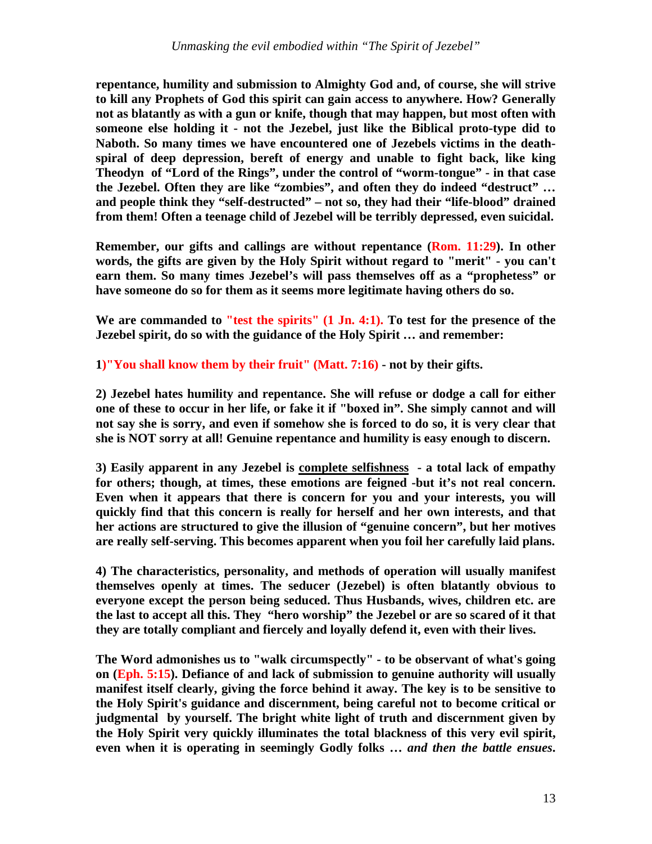**repentance, humility and submission to Almighty God and, of course, she will strive to kill any Prophets of God this spirit can gain access to anywhere. How? Generally not as blatantly as with a gun or knife, though that may happen, but most often with someone else holding it - not the Jezebel, just like the Biblical proto-type did to Naboth. So many times we have encountered one of Jezebels victims in the deathspiral of deep depression, bereft of energy and unable to fight back, like king Theodyn of "Lord of the Rings", under the control of "worm-tongue" - in that case the Jezebel. Often they are like "zombies", and often they do indeed "destruct" … and people think they "self-destructed" – not so, they had their "life-blood" drained from them! Often a teenage child of Jezebel will be terribly depressed, even suicidal.** 

**Remember, our gifts and callings are without repentance (Rom. 11:29). In other words, the gifts are given by the Holy Spirit without regard to "merit" - you can't earn them. So many times Jezebel's will pass themselves off as a "prophetess" or have someone do so for them as it seems more legitimate having others do so.**

We are commanded to "test the spirits" (1 Jn. 4:1). To test for the presence of the **Jezebel spirit, do so with the guidance of the Holy Spirit … and remember:** 

**1)"You shall know them by their fruit" (Matt. 7:16) - not by their gifts.** 

**2) Jezebel hates humility and repentance. She will refuse or dodge a call for either one of these to occur in her life, or fake it if "boxed in". She simply cannot and will not say she is sorry, and even if somehow she is forced to do so, it is very clear that she is NOT sorry at all! Genuine repentance and humility is easy enough to discern.** 

**3) Easily apparent in any Jezebel is complete selfishness - a total lack of empathy for others; though, at times, these emotions are feigned -but it's not real concern. Even when it appears that there is concern for you and your interests, you will quickly find that this concern is really for herself and her own interests, and that her actions are structured to give the illusion of "genuine concern", but her motives are really self-serving. This becomes apparent when you foil her carefully laid plans.** 

**4) The characteristics, personality, and methods of operation will usually manifest themselves openly at times. The seducer (Jezebel) is often blatantly obvious to everyone except the person being seduced. Thus Husbands, wives, children etc. are the last to accept all this. They "hero worship" the Jezebel or are so scared of it that they are totally compliant and fiercely and loyally defend it, even with their lives.** 

**The Word admonishes us to "walk circumspectly" - to be observant of what's going on (Eph. 5:15). Defiance of and lack of submission to genuine authority will usually manifest itself clearly, giving the force behind it away. The key is to be sensitive to the Holy Spirit's guidance and discernment, being careful not to become critical or judgmental by yourself. The bright white light of truth and discernment given by the Holy Spirit very quickly illuminates the total blackness of this very evil spirit, even when it is operating in seemingly Godly folks …** *and then the battle ensues***.**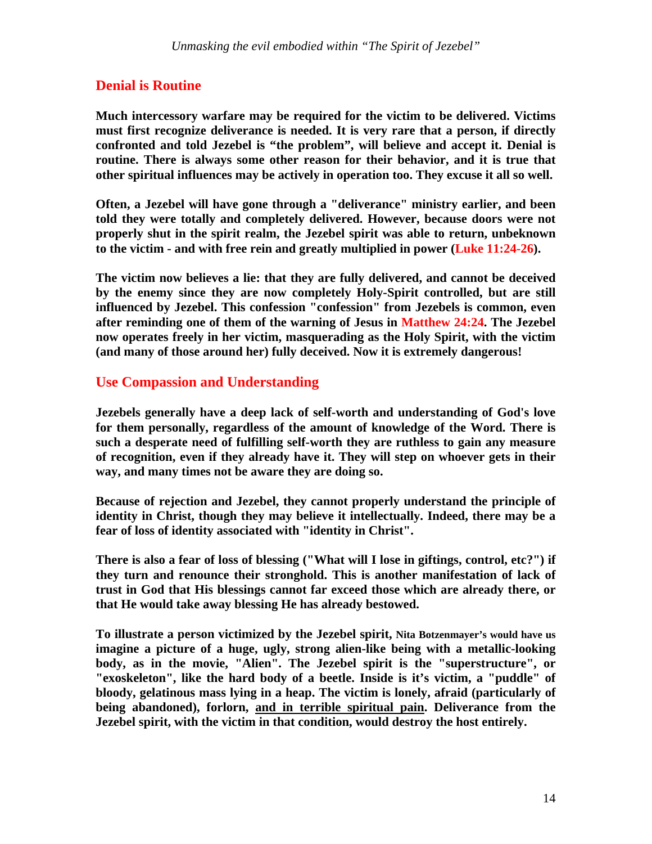## **Denial is Routine**

**Much intercessory warfare may be required for the victim to be delivered. Victims must first recognize deliverance is needed. It is very rare that a person, if directly confronted and told Jezebel is "the problem", will believe and accept it. Denial is routine. There is always some other reason for their behavior, and it is true that other spiritual influences may be actively in operation too. They excuse it all so well.**

**Often, a Jezebel will have gone through a "deliverance" ministry earlier, and been told they were totally and completely delivered. However, because doors were not properly shut in the spirit realm, the Jezebel spirit was able to return, unbeknown to the victim - and with free rein and greatly multiplied in power (Luke 11:24-26).** 

**The victim now believes a lie: that they are fully delivered, and cannot be deceived by the enemy since they are now completely Holy-Spirit controlled, but are still influenced by Jezebel. This confession "confession" from Jezebels is common, even after reminding one of them of the warning of Jesus in Matthew 24:24. The Jezebel now operates freely in her victim, masquerading as the Holy Spirit, with the victim (and many of those around her) fully deceived. Now it is extremely dangerous!** 

## **Use Compassion and Understanding**

**Jezebels generally have a deep lack of self-worth and understanding of God's love for them personally, regardless of the amount of knowledge of the Word. There is such a desperate need of fulfilling self-worth they are ruthless to gain any measure of recognition, even if they already have it. They will step on whoever gets in their way, and many times not be aware they are doing so.** 

**Because of rejection and Jezebel, they cannot properly understand the principle of identity in Christ, though they may believe it intellectually. Indeed, there may be a fear of loss of identity associated with "identity in Christ".** 

**There is also a fear of loss of blessing ("What will I lose in giftings, control, etc?") if they turn and renounce their stronghold. This is another manifestation of lack of trust in God that His blessings cannot far exceed those which are already there, or that He would take away blessing He has already bestowed.**

**To illustrate a person victimized by the Jezebel spirit, Nita Botzenmayer's would have us imagine a picture of a huge, ugly, strong alien-like being with a metallic-looking body, as in the movie, "Alien". The Jezebel spirit is the "superstructure", or "exoskeleton", like the hard body of a beetle. Inside is it's victim, a "puddle" of bloody, gelatinous mass lying in a heap. The victim is lonely, afraid (particularly of being abandoned), forlorn, and in terrible spiritual pain. Deliverance from the Jezebel spirit, with the victim in that condition, would destroy the host entirely.**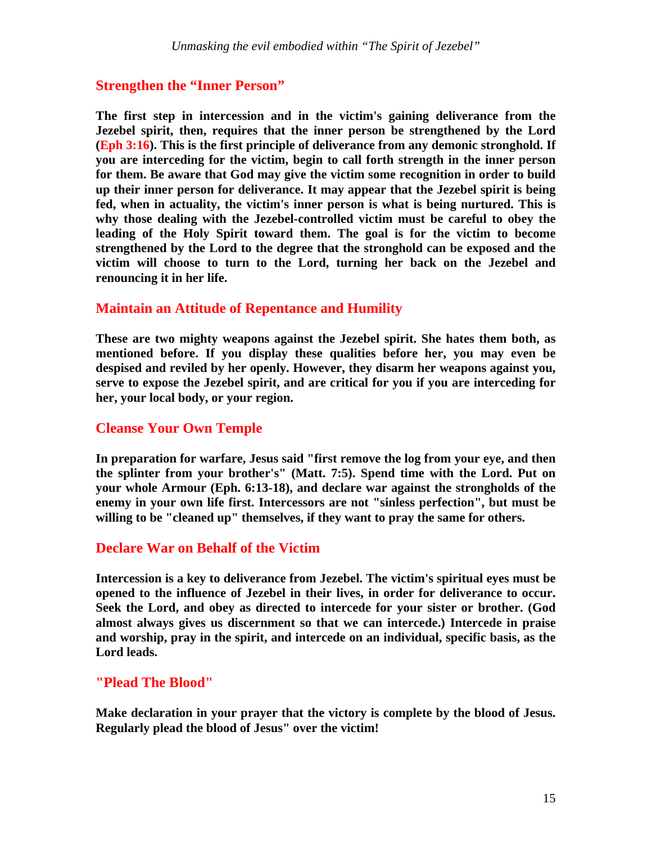## **Strengthen the "Inner Person"**

**The first step in intercession and in the victim's gaining deliverance from the Jezebel spirit, then, requires that the inner person be strengthened by the Lord (Eph 3:16). This is the first principle of deliverance from any demonic stronghold. If you are interceding for the victim, begin to call forth strength in the inner person for them. Be aware that God may give the victim some recognition in order to build up their inner person for deliverance. It may appear that the Jezebel spirit is being fed, when in actuality, the victim's inner person is what is being nurtured. This is why those dealing with the Jezebel-controlled victim must be careful to obey the leading of the Holy Spirit toward them. The goal is for the victim to become strengthened by the Lord to the degree that the stronghold can be exposed and the victim will choose to turn to the Lord, turning her back on the Jezebel and renouncing it in her life.** 

#### **Maintain an Attitude of Repentance and Humility**

**These are two mighty weapons against the Jezebel spirit. She hates them both, as mentioned before. If you display these qualities before her, you may even be despised and reviled by her openly. However, they disarm her weapons against you, serve to expose the Jezebel spirit, and are critical for you if you are interceding for her, your local body, or your region.**

## **Cleanse Your Own Temple**

**In preparation for warfare, Jesus said "first remove the log from your eye, and then the splinter from your brother's" (Matt. 7:5). Spend time with the Lord. Put on your whole Armour (Eph. 6:13-18), and declare war against the strongholds of the enemy in your own life first. Intercessors are not "sinless perfection", but must be willing to be "cleaned up" themselves, if they want to pray the same for others.** 

#### **Declare War on Behalf of the Victim**

**Intercession is a key to deliverance from Jezebel. The victim's spiritual eyes must be opened to the influence of Jezebel in their lives, in order for deliverance to occur. Seek the Lord, and obey as directed to intercede for your sister or brother. (God almost always gives us discernment so that we can intercede.) Intercede in praise and worship, pray in the spirit, and intercede on an individual, specific basis, as the Lord leads.** 

#### **"Plead The Blood"**

**Make declaration in your prayer that the victory is complete by the blood of Jesus. Regularly plead the blood of Jesus" over the victim!**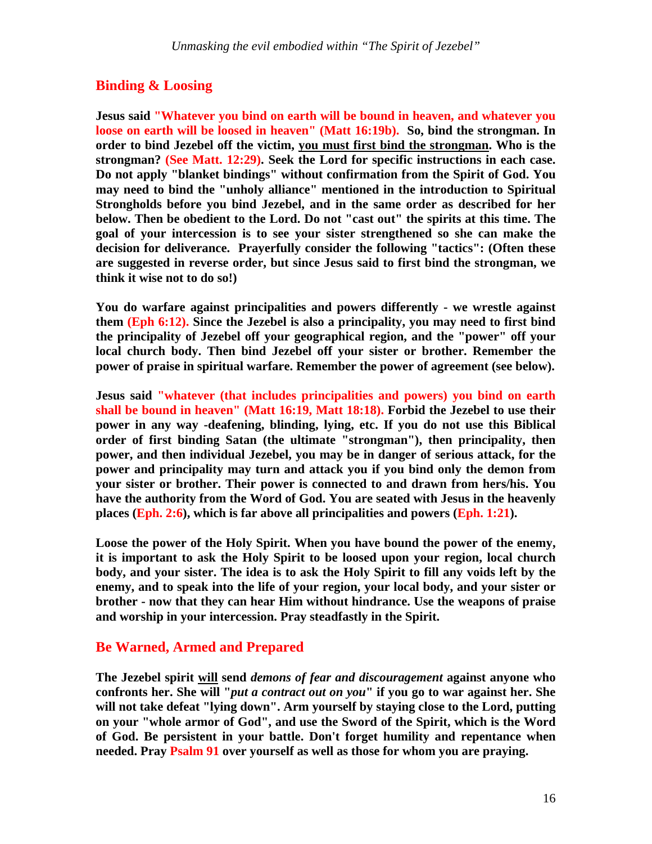## **Binding & Loosing**

**Jesus said "Whatever you bind on earth will be bound in heaven, and whatever you loose on earth will be loosed in heaven" (Matt 16:19b). So, bind the strongman. In order to bind Jezebel off the victim, you must first bind the strongman. Who is the strongman? (See Matt. 12:29). Seek the Lord for specific instructions in each case. Do not apply "blanket bindings" without confirmation from the Spirit of God. You may need to bind the "unholy alliance" mentioned in the introduction to Spiritual Strongholds before you bind Jezebel, and in the same order as described for her below. Then be obedient to the Lord. Do not "cast out" the spirits at this time. The goal of your intercession is to see your sister strengthened so she can make the decision for deliverance. Prayerfully consider the following "tactics": (Often these are suggested in reverse order, but since Jesus said to first bind the strongman, we think it wise not to do so!)** 

**You do warfare against principalities and powers differently - we wrestle against them (Eph 6:12). Since the Jezebel is also a principality, you may need to first bind the principality of Jezebel off your geographical region, and the "power" off your local church body. Then bind Jezebel off your sister or brother. Remember the power of praise in spiritual warfare. Remember the power of agreement (see below).**

**Jesus said "whatever (that includes principalities and powers) you bind on earth shall be bound in heaven" (Matt 16:19, Matt 18:18). Forbid the Jezebel to use their power in any way -deafening, blinding, lying, etc. If you do not use this Biblical order of first binding Satan (the ultimate "strongman"), then principality, then power, and then individual Jezebel, you may be in danger of serious attack, for the power and principality may turn and attack you if you bind only the demon from your sister or brother. Their power is connected to and drawn from hers/his. You have the authority from the Word of God. You are seated with Jesus in the heavenly places (Eph. 2:6), which is far above all principalities and powers (Eph. 1:21).**

**Loose the power of the Holy Spirit. When you have bound the power of the enemy, it is important to ask the Holy Spirit to be loosed upon your region, local church body, and your sister. The idea is to ask the Holy Spirit to fill any voids left by the enemy, and to speak into the life of your region, your local body, and your sister or brother - now that they can hear Him without hindrance. Use the weapons of praise and worship in your intercession. Pray steadfastly in the Spirit.** 

## **Be Warned, Armed and Prepared**

**The Jezebel spirit will send** *demons of fear and discouragement* **against anyone who confronts her. She will "***put a contract out on you***" if you go to war against her. She will not take defeat "lying down". Arm yourself by staying close to the Lord, putting on your "whole armor of God", and use the Sword of the Spirit, which is the Word of God. Be persistent in your battle. Don't forget humility and repentance when needed. Pray Psalm 91 over yourself as well as those for whom you are praying.**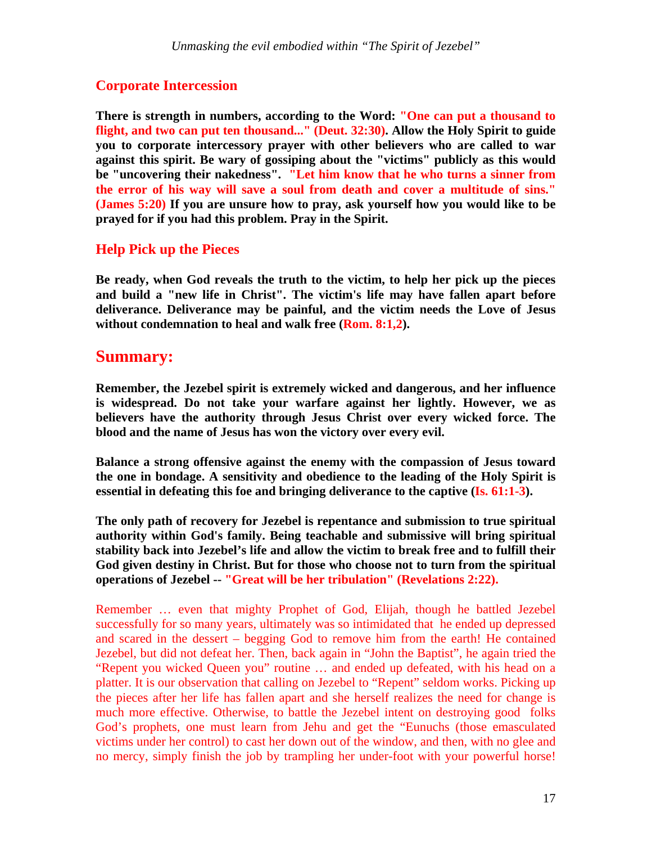## **Corporate Intercession**

**There is strength in numbers, according to the Word: "One can put a thousand to flight, and two can put ten thousand..." (Deut. 32:30). Allow the Holy Spirit to guide you to corporate intercessory prayer with other believers who are called to war against this spirit. Be wary of gossiping about the "victims" publicly as this would be "uncovering their nakedness". "Let him know that he who turns a sinner from the error of his way will save a soul from death and cover a multitude of sins." (James 5:20) If you are unsure how to pray, ask yourself how you would like to be prayed for if you had this problem. Pray in the Spirit.**

## **Help Pick up the Pieces**

**Be ready, when God reveals the truth to the victim, to help her pick up the pieces and build a "new life in Christ". The victim's life may have fallen apart before deliverance. Deliverance may be painful, and the victim needs the Love of Jesus without condemnation to heal and walk free (Rom. 8:1,2).**

## **Summary:**

**Remember, the Jezebel spirit is extremely wicked and dangerous, and her influence is widespread. Do not take your warfare against her lightly. However, we as believers have the authority through Jesus Christ over every wicked force. The blood and the name of Jesus has won the victory over every evil.** 

**Balance a strong offensive against the enemy with the compassion of Jesus toward the one in bondage. A sensitivity and obedience to the leading of the Holy Spirit is essential in defeating this foe and bringing deliverance to the captive (Is. 61:1-3).**

**The only path of recovery for Jezebel is repentance and submission to true spiritual authority within God's family. Being teachable and submissive will bring spiritual stability back into Jezebel's life and allow the victim to break free and to fulfill their God given destiny in Christ. But for those who choose not to turn from the spiritual operations of Jezebel -- "Great will be her tribulation" (Revelations 2:22).** 

Remember … even that mighty Prophet of God, Elijah, though he battled Jezebel successfully for so many years, ultimately was so intimidated that he ended up depressed and scared in the dessert – begging God to remove him from the earth! He contained Jezebel, but did not defeat her. Then, back again in "John the Baptist", he again tried the "Repent you wicked Queen you" routine … and ended up defeated, with his head on a platter. It is our observation that calling on Jezebel to "Repent" seldom works. Picking up the pieces after her life has fallen apart and she herself realizes the need for change is much more effective. Otherwise, to battle the Jezebel intent on destroying good folks God's prophets, one must learn from Jehu and get the "Eunuchs (those emasculated victims under her control) to cast her down out of the window, and then, with no glee and no mercy, simply finish the job by trampling her under-foot with your powerful horse!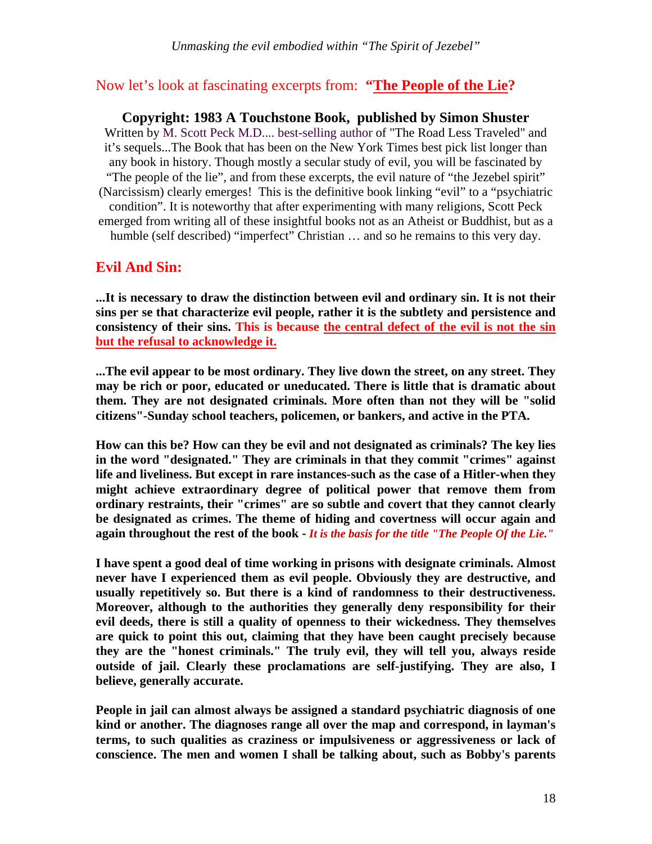## Now let's look at fascinating excerpts from: **"The People of the Lie?**

#### **Copyright: 1983 A Touchstone Book, published by Simon Shuster**

Written by M. Scott Peck M.D.... best-selling author of "The Road Less Traveled" and it's sequels...The Book that has been on the New York Times best pick list longer than any book in history. Though mostly a secular study of evil, you will be fascinated by "The people of the lie", and from these excerpts, the evil nature of "the Jezebel spirit" (Narcissism) clearly emerges! This is the definitive book linking "evil" to a "psychiatric condition". It is noteworthy that after experimenting with many religions, Scott Peck emerged from writing all of these insightful books not as an Atheist or Buddhist, but as a humble (self described) "imperfect" Christian ... and so he remains to this very day.

#### **Evil And Sin:**

**...It is necessary to draw the distinction between evil and ordinary sin. It is not their sins per se that characterize evil people, rather it is the subtlety and persistence and consistency of their sins. This is because the central defect of the evil is not the sin but the refusal to acknowledge it.** 

**...The evil appear to be most ordinary. They live down the street, on any street. They may be rich or poor, educated or uneducated. There is little that is dramatic about them. They are not designated criminals. More often than not they will be "solid citizens"-Sunday school teachers, policemen, or bankers, and active in the PTA.** 

**How can this be? How can they be evil and not designated as criminals? The key lies in the word "designated." They are criminals in that they commit "crimes" against life and liveliness. But except in rare instances-such as the case of a Hitler-when they might achieve extraordinary degree of political power that remove them from ordinary restraints, their "crimes" are so subtle and covert that they cannot clearly be designated as crimes. The theme of hiding and covertness will occur again and again throughout the rest of the book -** *It is the basis for the title "The People Of the Lie."*

**I have spent a good deal of time working in prisons with designate criminals. Almost never have I experienced them as evil people. Obviously they are destructive, and usually repetitively so. But there is a kind of randomness to their destructiveness. Moreover, although to the authorities they generally deny responsibility for their evil deeds, there is still a quality of openness to their wickedness. They themselves are quick to point this out, claiming that they have been caught precisely because they are the "honest criminals." The truly evil, they will tell you, always reside outside of jail. Clearly these proclamations are self-justifying. They are also, I believe, generally accurate.** 

**People in jail can almost always be assigned a standard psychiatric diagnosis of one kind or another. The diagnoses range all over the map and correspond, in layman's terms, to such qualities as craziness or impulsiveness or aggressiveness or lack of conscience. The men and women I shall be talking about, such as Bobby's parents**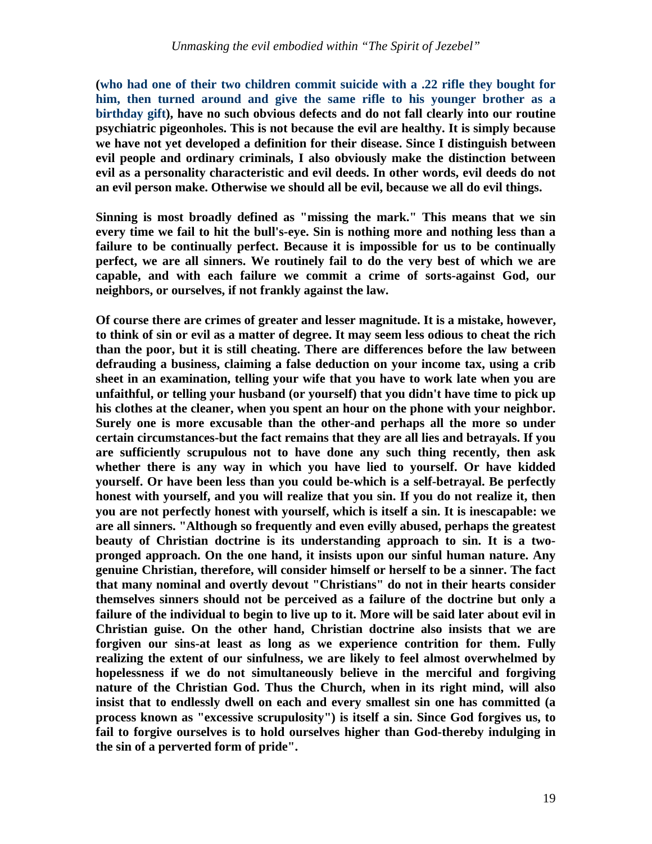**(who had one of their two children commit suicide with a .22 rifle they bought for him, then turned around and give the same rifle to his younger brother as a birthday gift), have no such obvious defects and do not fall clearly into our routine psychiatric pigeonholes. This is not because the evil are healthy. It is simply because we have not yet developed a definition for their disease. Since I distinguish between evil people and ordinary criminals, I also obviously make the distinction between evil as a personality characteristic and evil deeds. In other words, evil deeds do not an evil person make. Otherwise we should all be evil, because we all do evil things.** 

**Sinning is most broadly defined as "missing the mark." This means that we sin every time we fail to hit the bull's-eye. Sin is nothing more and nothing less than a failure to be continually perfect. Because it is impossible for us to be continually perfect, we are all sinners. We routinely fail to do the very best of which we are capable, and with each failure we commit a crime of sorts-against God, our neighbors, or ourselves, if not frankly against the law.** 

**Of course there are crimes of greater and lesser magnitude. It is a mistake, however, to think of sin or evil as a matter of degree. It may seem less odious to cheat the rich than the poor, but it is still cheating. There are differences before the law between defrauding a business, claiming a false deduction on your income tax, using a crib sheet in an examination, telling your wife that you have to work late when you are unfaithful, or telling your husband (or yourself) that you didn't have time to pick up his clothes at the cleaner, when you spent an hour on the phone with your neighbor. Surely one is more excusable than the other-and perhaps all the more so under certain circumstances-but the fact remains that they are all lies and betrayals. If you are sufficiently scrupulous not to have done any such thing recently, then ask whether there is any way in which you have lied to yourself. Or have kidded yourself. Or have been less than you could be-which is a self-betrayal. Be perfectly honest with yourself, and you will realize that you sin. If you do not realize it, then you are not perfectly honest with yourself, which is itself a sin. It is inescapable: we are all sinners. "Although so frequently and even evilly abused, perhaps the greatest beauty of Christian doctrine is its understanding approach to sin. It is a twopronged approach. On the one hand, it insists upon our sinful human nature. Any genuine Christian, therefore, will consider himself or herself to be a sinner. The fact that many nominal and overtly devout "Christians" do not in their hearts consider themselves sinners should not be perceived as a failure of the doctrine but only a failure of the individual to begin to live up to it. More will be said later about evil in Christian guise. On the other hand, Christian doctrine also insists that we are forgiven our sins-at least as long as we experience contrition for them. Fully realizing the extent of our sinfulness, we are likely to feel almost overwhelmed by hopelessness if we do not simultaneously believe in the merciful and forgiving nature of the Christian God. Thus the Church, when in its right mind, will also insist that to endlessly dwell on each and every smallest sin one has committed (a process known as "excessive scrupulosity") is itself a sin. Since God forgives us, to fail to forgive ourselves is to hold ourselves higher than God-thereby indulging in the sin of a perverted form of pride".**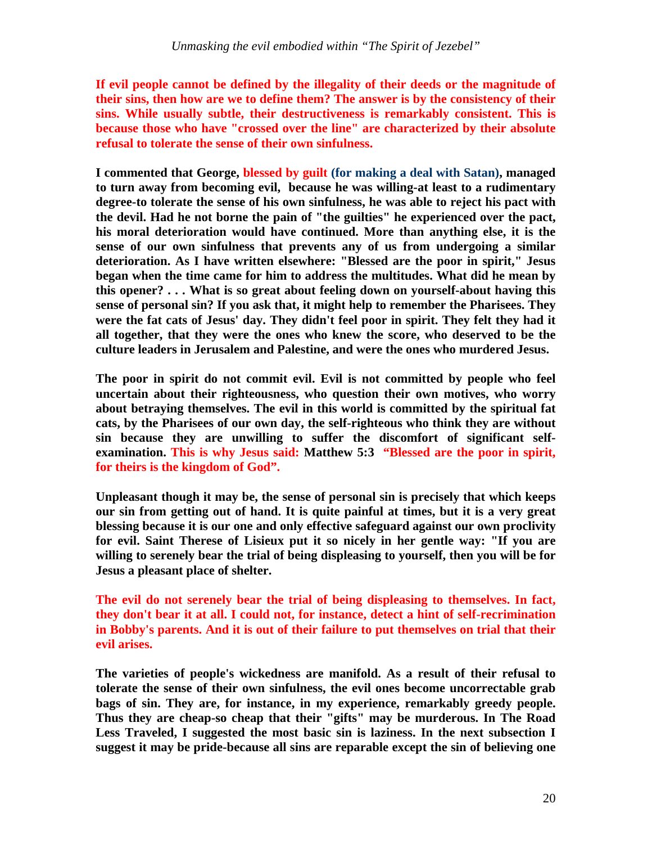**If evil people cannot be defined by the illegality of their deeds or the magnitude of their sins, then how are we to define them? The answer is by the consistency of their sins. While usually subtle, their destructiveness is remarkably consistent. This is because those who have "crossed over the line" are characterized by their absolute refusal to tolerate the sense of their own sinfulness.** 

**I commented that George, blessed by guilt (for making a deal with Satan), managed to turn away from becoming evil, because he was willing-at least to a rudimentary degree-to tolerate the sense of his own sinfulness, he was able to reject his pact with the devil. Had he not borne the pain of "the guilties" he experienced over the pact, his moral deterioration would have continued. More than anything else, it is the sense of our own sinfulness that prevents any of us from undergoing a similar deterioration. As I have written elsewhere: "Blessed are the poor in spirit," Jesus began when the time came for him to address the multitudes. What did he mean by this opener? . . . What is so great about feeling down on yourself-about having this sense of personal sin? If you ask that, it might help to remember the Pharisees. They were the fat cats of Jesus' day. They didn't feel poor in spirit. They felt they had it all together, that they were the ones who knew the score, who deserved to be the culture leaders in Jerusalem and Palestine, and were the ones who murdered Jesus.** 

**The poor in spirit do not commit evil. Evil is not committed by people who feel uncertain about their righteousness, who question their own motives, who worry about betraying themselves. The evil in this world is committed by the spiritual fat cats, by the Pharisees of our own day, the self-righteous who think they are without sin because they are unwilling to suffer the discomfort of significant selfexamination. This is why Jesus said: Matthew 5:3 "Blessed are the poor in spirit, for theirs is the kingdom of God".** 

**Unpleasant though it may be, the sense of personal sin is precisely that which keeps our sin from getting out of hand. It is quite painful at times, but it is a very great blessing because it is our one and only effective safeguard against our own proclivity for evil. Saint Therese of Lisieux put it so nicely in her gentle way: "If you are willing to serenely bear the trial of being displeasing to yourself, then you will be for Jesus a pleasant place of shelter.** 

**The evil do not serenely bear the trial of being displeasing to themselves. In fact, they don't bear it at all. I could not, for instance, detect a hint of self-recrimination in Bobby's parents. And it is out of their failure to put themselves on trial that their evil arises.** 

**The varieties of people's wickedness are manifold. As a result of their refusal to tolerate the sense of their own sinfulness, the evil ones become uncorrectable grab bags of sin. They are, for instance, in my experience, remarkably greedy people. Thus they are cheap-so cheap that their "gifts" may be murderous. In The Road Less Traveled, I suggested the most basic sin is laziness. In the next subsection I suggest it may be pride-because all sins are reparable except the sin of believing one**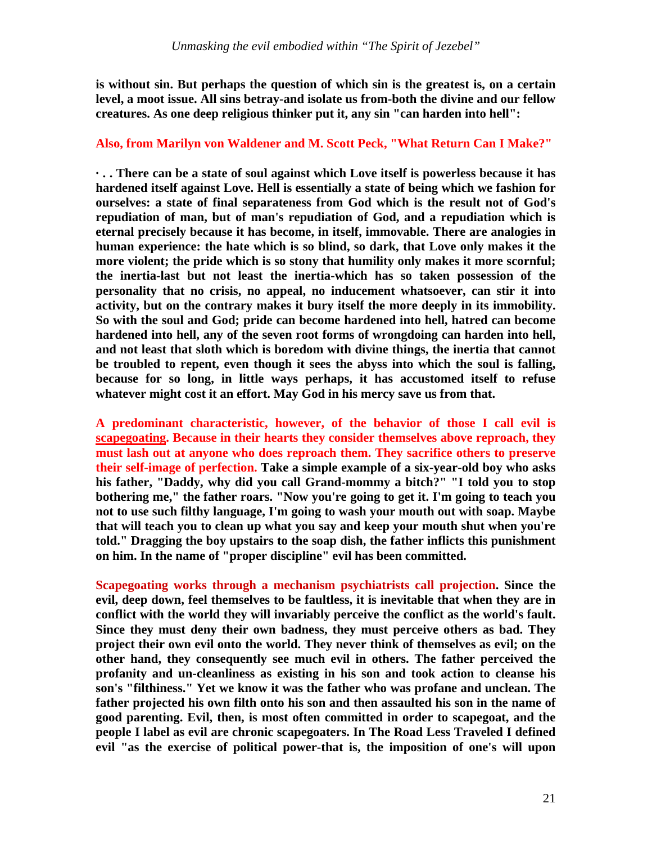**is without sin. But perhaps the question of which sin is the greatest is, on a certain level, a moot issue. All sins betray-and isolate us from-both the divine and our fellow creatures. As one deep religious thinker put it, any sin "can harden into hell":** 

#### **Also, from Marilyn von Waldener and M. Scott Peck, "What Return Can I Make?"**

**· . . There can be a state of soul against which Love itself is powerless because it has hardened itself against Love. Hell is essentially a state of being which we fashion for ourselves: a state of final separateness from God which is the result not of God's repudiation of man, but of man's repudiation of God, and a repudiation which is eternal precisely because it has become, in itself, immovable. There are analogies in human experience: the hate which is so blind, so dark, that Love only makes it the more violent; the pride which is so stony that humility only makes it more scornful; the inertia-last but not least the inertia-which has so taken possession of the personality that no crisis, no appeal, no inducement whatsoever, can stir it into activity, but on the contrary makes it bury itself the more deeply in its immobility. So with the soul and God; pride can become hardened into hell, hatred can become hardened into hell, any of the seven root forms of wrongdoing can harden into hell, and not least that sloth which is boredom with divine things, the inertia that cannot be troubled to repent, even though it sees the abyss into which the soul is falling, because for so long, in little ways perhaps, it has accustomed itself to refuse whatever might cost it an effort. May God in his mercy save us from that.** 

**A predominant characteristic, however, of the behavior of those I call evil is scapegoating. Because in their hearts they consider themselves above reproach, they must lash out at anyone who does reproach them. They sacrifice others to preserve their self-image of perfection. Take a simple example of a six-year-old boy who asks his father, "Daddy, why did you call Grand-mommy a bitch?" "I told you to stop bothering me," the father roars. "Now you're going to get it. I'm going to teach you not to use such filthy language, I'm going to wash your mouth out with soap. Maybe that will teach you to clean up what you say and keep your mouth shut when you're told." Dragging the boy upstairs to the soap dish, the father inflicts this punishment on him. In the name of "proper discipline" evil has been committed.** 

**Scapegoating works through a mechanism psychiatrists call projection. Since the evil, deep down, feel themselves to be faultless, it is inevitable that when they are in conflict with the world they will invariably perceive the conflict as the world's fault. Since they must deny their own badness, they must perceive others as bad. They project their own evil onto the world. They never think of themselves as evil; on the other hand, they consequently see much evil in others. The father perceived the profanity and un-cleanliness as existing in his son and took action to cleanse his son's "filthiness." Yet we know it was the father who was profane and unclean. The father projected his own filth onto his son and then assaulted his son in the name of good parenting. Evil, then, is most often committed in order to scapegoat, and the people I label as evil are chronic scapegoaters. In The Road Less Traveled I defined evil "as the exercise of political power-that is, the imposition of one's will upon**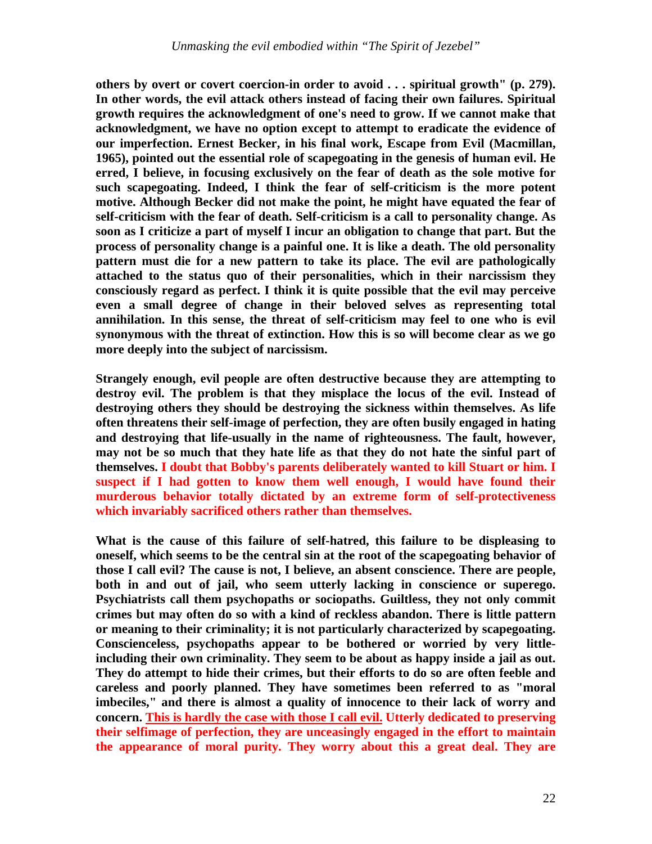**others by overt or covert coercion-in order to avoid . . . spiritual growth" (p. 279). In other words, the evil attack others instead of facing their own failures. Spiritual growth requires the acknowledgment of one's need to grow. If we cannot make that acknowledgment, we have no option except to attempt to eradicate the evidence of our imperfection. Ernest Becker, in his final work, Escape from Evil (Macmillan, 1965), pointed out the essential role of scapegoating in the genesis of human evil. He erred, I believe, in focusing exclusively on the fear of death as the sole motive for such scapegoating. Indeed, I think the fear of self-criticism is the more potent motive. Although Becker did not make the point, he might have equated the fear of self-criticism with the fear of death. Self-criticism is a call to personality change. As soon as I criticize a part of myself I incur an obligation to change that part. But the process of personality change is a painful one. It is like a death. The old personality pattern must die for a new pattern to take its place. The evil are pathologically attached to the status quo of their personalities, which in their narcissism they consciously regard as perfect. I think it is quite possible that the evil may perceive even a small degree of change in their beloved selves as representing total annihilation. In this sense, the threat of self-criticism may feel to one who is evil synonymous with the threat of extinction. How this is so will become clear as we go more deeply into the subject of narcissism.** 

**Strangely enough, evil people are often destructive because they are attempting to destroy evil. The problem is that they misplace the locus of the evil. Instead of destroying others they should be destroying the sickness within themselves. As life often threatens their self-image of perfection, they are often busily engaged in hating and destroying that life-usually in the name of righteousness. The fault, however, may not be so much that they hate life as that they do not hate the sinful part of themselves. I doubt that Bobby's parents deliberately wanted to kill Stuart or him. I suspect if I had gotten to know them well enough, I would have found their murderous behavior totally dictated by an extreme form of self-protectiveness which invariably sacrificed others rather than themselves.** 

**What is the cause of this failure of self-hatred, this failure to be displeasing to oneself, which seems to be the central sin at the root of the scapegoating behavior of those I call evil? The cause is not, I believe, an absent conscience. There are people, both in and out of jail, who seem utterly lacking in conscience or superego. Psychiatrists call them psychopaths or sociopaths. Guiltless, they not only commit crimes but may often do so with a kind of reckless abandon. There is little pattern or meaning to their criminality; it is not particularly characterized by scapegoating. Conscienceless, psychopaths appear to be bothered or worried by very littleincluding their own criminality. They seem to be about as happy inside a jail as out. They do attempt to hide their crimes, but their efforts to do so are often feeble and careless and poorly planned. They have sometimes been referred to as "moral imbeciles," and there is almost a quality of innocence to their lack of worry and concern. This is hardly the case with those I call evil. Utterly dedicated to preserving their selfimage of perfection, they are unceasingly engaged in the effort to maintain the appearance of moral purity. They worry about this a great deal. They are**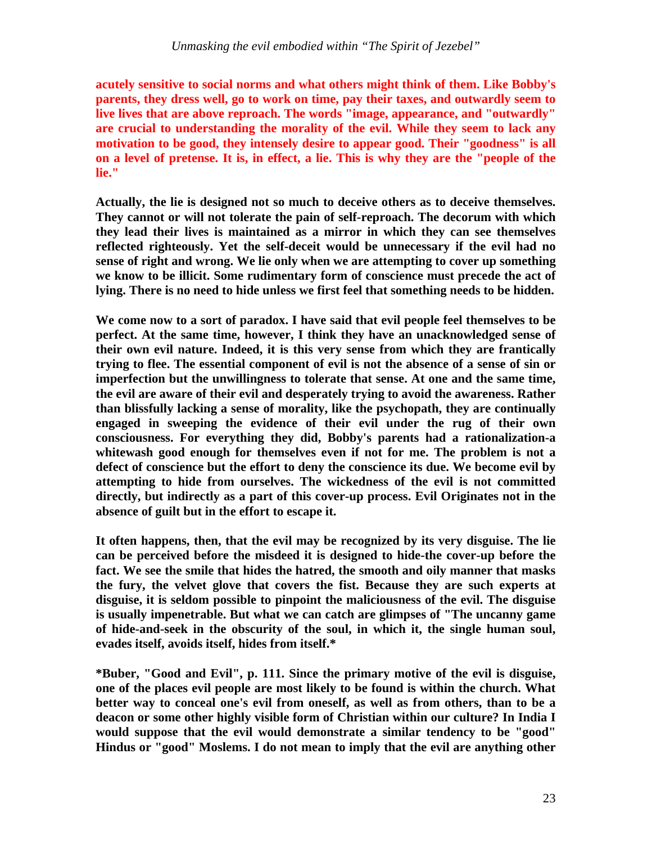**acutely sensitive to social norms and what others might think of them. Like Bobby's parents, they dress well, go to work on time, pay their taxes, and outwardly seem to live lives that are above reproach. The words "image, appearance, and "outwardly" are crucial to understanding the morality of the evil. While they seem to lack any motivation to be good, they intensely desire to appear good. Their "goodness" is all on a level of pretense. It is, in effect, a lie. This is why they are the "people of the lie."** 

**Actually, the lie is designed not so much to deceive others as to deceive themselves. They cannot or will not tolerate the pain of self-reproach. The decorum with which they lead their lives is maintained as a mirror in which they can see themselves reflected righteously. Yet the self-deceit would be unnecessary if the evil had no sense of right and wrong. We lie only when we are attempting to cover up something we know to be illicit. Some rudimentary form of conscience must precede the act of lying. There is no need to hide unless we first feel that something needs to be hidden.** 

**We come now to a sort of paradox. I have said that evil people feel themselves to be perfect. At the same time, however, I think they have an unacknowledged sense of their own evil nature. Indeed, it is this very sense from which they are frantically trying to flee. The essential component of evil is not the absence of a sense of sin or imperfection but the unwillingness to tolerate that sense. At one and the same time, the evil are aware of their evil and desperately trying to avoid the awareness. Rather than blissfully lacking a sense of morality, like the psychopath, they are continually engaged in sweeping the evidence of their evil under the rug of their own consciousness. For everything they did, Bobby's parents had a rationalization-a whitewash good enough for themselves even if not for me. The problem is not a defect of conscience but the effort to deny the conscience its due. We become evil by attempting to hide from ourselves. The wickedness of the evil is not committed directly, but indirectly as a part of this cover-up process. Evil Originates not in the absence of guilt but in the effort to escape it.** 

**It often happens, then, that the evil may be recognized by its very disguise. The lie can be perceived before the misdeed it is designed to hide-the cover-up before the fact. We see the smile that hides the hatred, the smooth and oily manner that masks the fury, the velvet glove that covers the fist. Because they are such experts at disguise, it is seldom possible to pinpoint the maliciousness of the evil. The disguise is usually impenetrable. But what we can catch are glimpses of "The uncanny game of hide-and-seek in the obscurity of the soul, in which it, the single human soul, evades itself, avoids itself, hides from itself.\*** 

**\*Buber, "Good and Evil", p. 111. Since the primary motive of the evil is disguise, one of the places evil people are most likely to be found is within the church. What better way to conceal one's evil from oneself, as well as from others, than to be a deacon or some other highly visible form of Christian within our culture? In India I would suppose that the evil would demonstrate a similar tendency to be "good" Hindus or "good" Moslems. I do not mean to imply that the evil are anything other**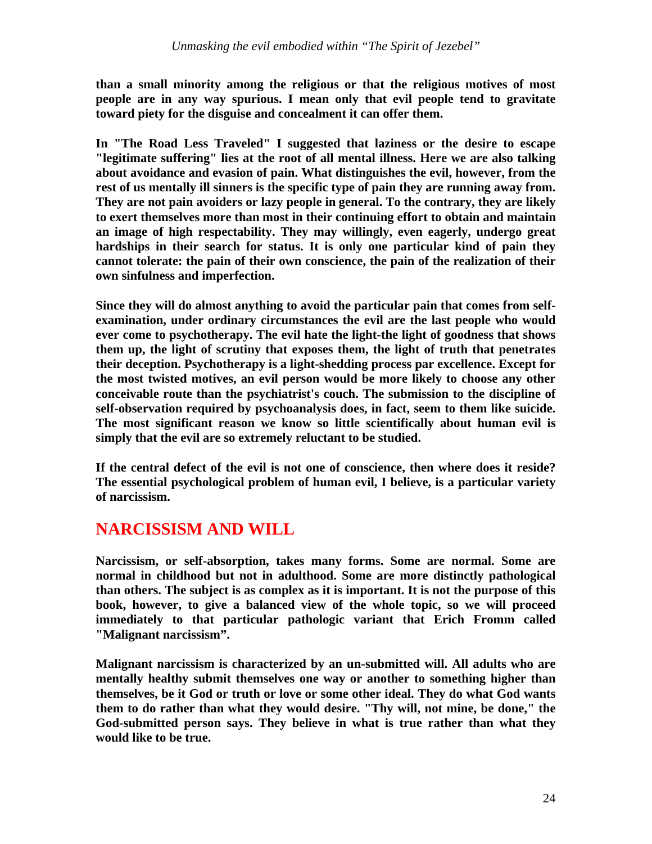**than a small minority among the religious or that the religious motives of most people are in any way spurious. I mean only that evil people tend to gravitate toward piety for the disguise and concealment it can offer them.** 

**In "The Road Less Traveled" I suggested that laziness or the desire to escape "legitimate suffering" lies at the root of all mental illness. Here we are also talking about avoidance and evasion of pain. What distinguishes the evil, however, from the rest of us mentally ill sinners is the specific type of pain they are running away from. They are not pain avoiders or lazy people in general. To the contrary, they are likely to exert themselves more than most in their continuing effort to obtain and maintain an image of high respectability. They may willingly, even eagerly, undergo great hardships in their search for status. It is only one particular kind of pain they cannot tolerate: the pain of their own conscience, the pain of the realization of their own sinfulness and imperfection.** 

**Since they will do almost anything to avoid the particular pain that comes from selfexamination, under ordinary circumstances the evil are the last people who would ever come to psychotherapy. The evil hate the light-the light of goodness that shows them up, the light of scrutiny that exposes them, the light of truth that penetrates their deception. Psychotherapy is a light-shedding process par excellence. Except for the most twisted motives, an evil person would be more likely to choose any other conceivable route than the psychiatrist's couch. The submission to the discipline of self-observation required by psychoanalysis does, in fact, seem to them like suicide. The most significant reason we know so little scientifically about human evil is simply that the evil are so extremely reluctant to be studied.** 

**If the central defect of the evil is not one of conscience, then where does it reside? The essential psychological problem of human evil, I believe, is a particular variety of narcissism.** 

# **NARCISSISM AND WILL**

**Narcissism, or self-absorption, takes many forms. Some are normal. Some are normal in childhood but not in adulthood. Some are more distinctly pathological than others. The subject is as complex as it is important. It is not the purpose of this book, however, to give a balanced view of the whole topic, so we will proceed immediately to that particular pathologic variant that Erich Fromm called "Malignant narcissism".** 

**Malignant narcissism is characterized by an un-submitted will. All adults who are mentally healthy submit themselves one way or another to something higher than themselves, be it God or truth or love or some other ideal. They do what God wants them to do rather than what they would desire. "Thy will, not mine, be done," the God-submitted person says. They believe in what is true rather than what they would like to be true.**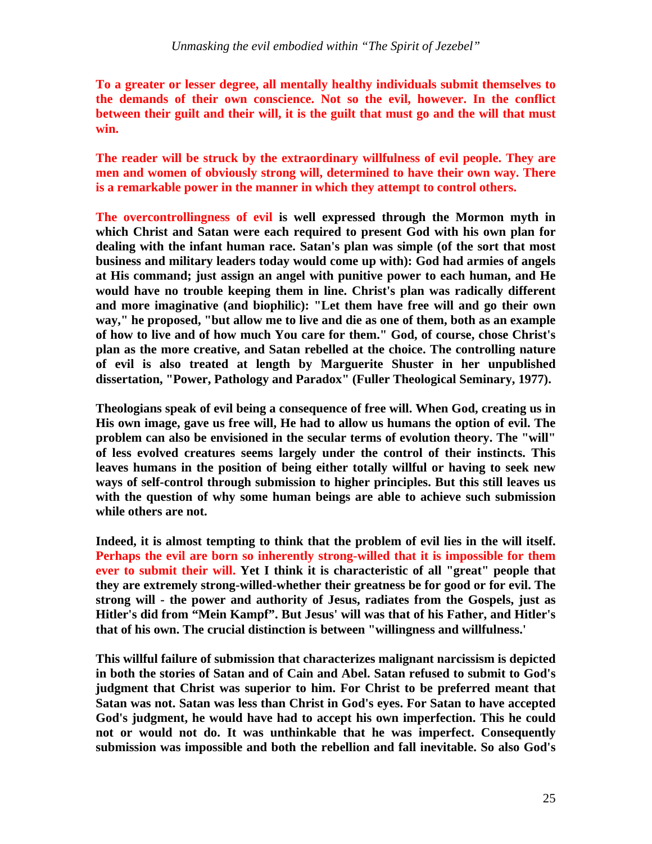**To a greater or lesser degree, all mentally healthy individuals submit themselves to the demands of their own conscience. Not so the evil, however. In the conflict between their guilt and their will, it is the guilt that must go and the will that must win.** 

**The reader will be struck by the extraordinary willfulness of evil people. They are men and women of obviously strong will, determined to have their own way. There is a remarkable power in the manner in which they attempt to control others.** 

**The overcontrollingness of evil is well expressed through the Mormon myth in which Christ and Satan were each required to present God with his own plan for dealing with the infant human race. Satan's plan was simple (of the sort that most business and military leaders today would come up with): God had armies of angels at His command; just assign an angel with punitive power to each human, and He would have no trouble keeping them in line. Christ's plan was radically different and more imaginative (and biophilic): "Let them have free will and go their own way," he proposed, "but allow me to live and die as one of them, both as an example of how to live and of how much You care for them." God, of course, chose Christ's plan as the more creative, and Satan rebelled at the choice. The controlling nature of evil is also treated at length by Marguerite Shuster in her unpublished dissertation, "Power, Pathology and Paradox" (Fuller Theological Seminary, 1977).** 

**Theologians speak of evil being a consequence of free will. When God, creating us in His own image, gave us free will, He had to allow us humans the option of evil. The problem can also be envisioned in the secular terms of evolution theory. The "will" of less evolved creatures seems largely under the control of their instincts. This leaves humans in the position of being either totally willful or having to seek new ways of self-control through submission to higher principles. But this still leaves us with the question of why some human beings are able to achieve such submission while others are not.** 

**Indeed, it is almost tempting to think that the problem of evil lies in the will itself. Perhaps the evil are born so inherently strong-willed that it is impossible for them ever to submit their will. Yet I think it is characteristic of all "great" people that they are extremely strong-willed-whether their greatness be for good or for evil. The strong will - the power and authority of Jesus, radiates from the Gospels, just as Hitler's did from "Mein Kampf". But Jesus' will was that of his Father, and Hitler's that of his own. The crucial distinction is between "willingness and willfulness.'** 

**This willful failure of submission that characterizes malignant narcissism is depicted in both the stories of Satan and of Cain and Abel. Satan refused to submit to God's judgment that Christ was superior to him. For Christ to be preferred meant that Satan was not. Satan was less than Christ in God's eyes. For Satan to have accepted God's judgment, he would have had to accept his own imperfection. This he could not or would not do. It was unthinkable that he was imperfect. Consequently submission was impossible and both the rebellion and fall inevitable. So also God's**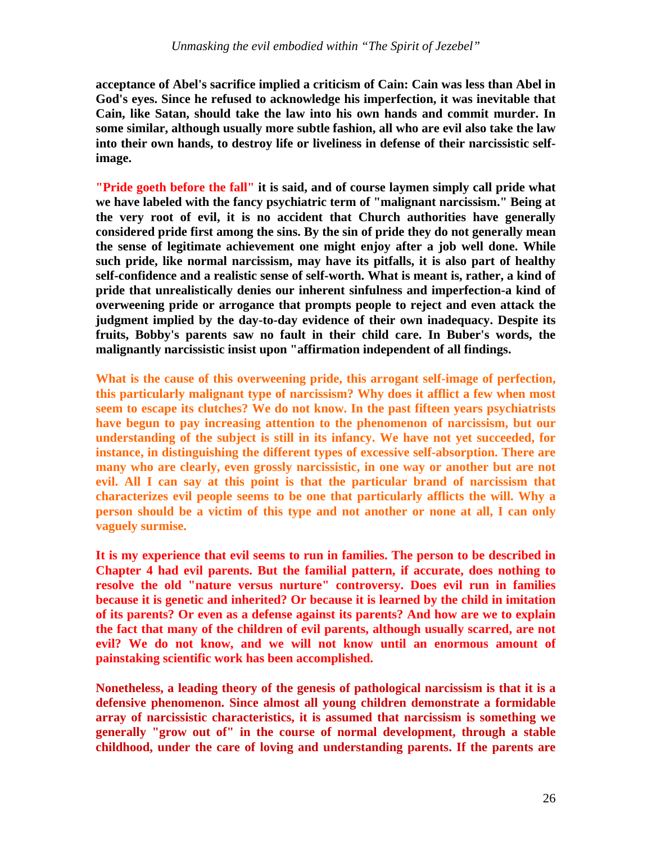**acceptance of Abel's sacrifice implied a criticism of Cain: Cain was less than Abel in God's eyes. Since he refused to acknowledge his imperfection, it was inevitable that Cain, like Satan, should take the law into his own hands and commit murder. In some similar, although usually more subtle fashion, all who are evil also take the law into their own hands, to destroy life or liveliness in defense of their narcissistic selfimage.** 

**"Pride goeth before the fall" it is said, and of course laymen simply call pride what we have labeled with the fancy psychiatric term of "malignant narcissism." Being at the very root of evil, it is no accident that Church authorities have generally considered pride first among the sins. By the sin of pride they do not generally mean the sense of legitimate achievement one might enjoy after a job well done. While such pride, like normal narcissism, may have its pitfalls, it is also part of healthy self-confidence and a realistic sense of self-worth. What is meant is, rather, a kind of pride that unrealistically denies our inherent sinfulness and imperfection-a kind of overweening pride or arrogance that prompts people to reject and even attack the judgment implied by the day-to-day evidence of their own inadequacy. Despite its fruits, Bobby's parents saw no fault in their child care. In Buber's words, the malignantly narcissistic insist upon "affirmation independent of all findings.** 

**What is the cause of this overweening pride, this arrogant self-image of perfection, this particularly malignant type of narcissism? Why does it afflict a few when most seem to escape its clutches? We do not know. In the past fifteen years psychiatrists have begun to pay increasing attention to the phenomenon of narcissism, but our understanding of the subject is still in its infancy. We have not yet succeeded, for instance, in distinguishing the different types of excessive self-absorption. There are many who are clearly, even grossly narcissistic, in one way or another but are not evil. All I can say at this point is that the particular brand of narcissism that characterizes evil people seems to be one that particularly afflicts the will. Why a person should be a victim of this type and not another or none at all, I can only vaguely surmise.** 

**It is my experience that evil seems to run in families. The person to be described in Chapter 4 had evil parents. But the familial pattern, if accurate, does nothing to resolve the old "nature versus nurture" controversy. Does evil run in families because it is genetic and inherited? Or because it is learned by the child in imitation of its parents? Or even as a defense against its parents? And how are we to explain the fact that many of the children of evil parents, although usually scarred, are not evil? We do not know, and we will not know until an enormous amount of painstaking scientific work has been accomplished.** 

**Nonetheless, a leading theory of the genesis of pathological narcissism is that it is a defensive phenomenon. Since almost all young children demonstrate a formidable array of narcissistic characteristics, it is assumed that narcissism is something we generally "grow out of" in the course of normal development, through a stable childhood, under the care of loving and understanding parents. If the parents are**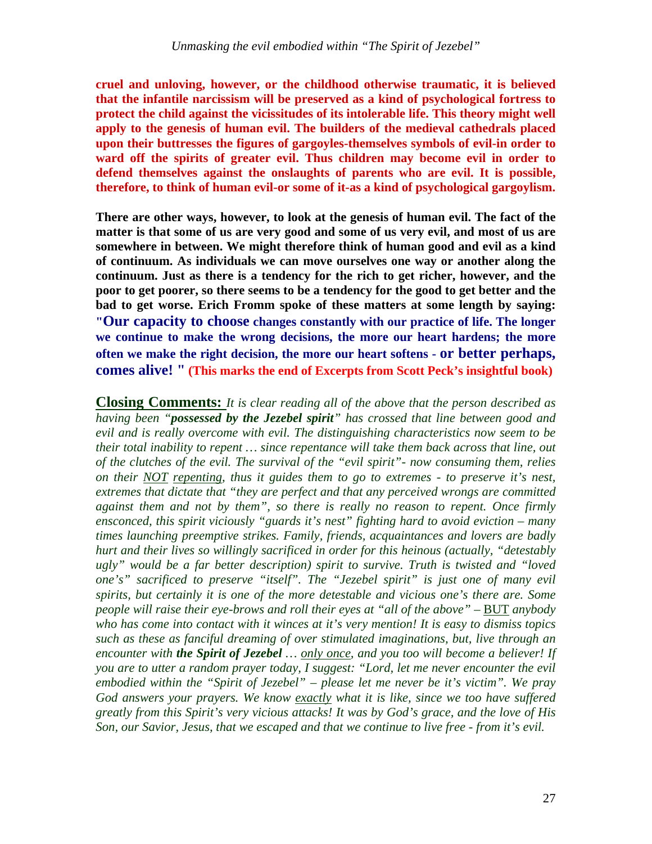**cruel and unloving, however, or the childhood otherwise traumatic, it is believed that the infantile narcissism will be preserved as a kind of psychological fortress to protect the child against the vicissitudes of its intolerable life. This theory might well apply to the genesis of human evil. The builders of the medieval cathedrals placed upon their buttresses the figures of gargoyles-themselves symbols of evil-in order to ward off the spirits of greater evil. Thus children may become evil in order to defend themselves against the onslaughts of parents who are evil. It is possible, therefore, to think of human evil-or some of it-as a kind of psychological gargoylism.** 

**There are other ways, however, to look at the genesis of human evil. The fact of the matter is that some of us are very good and some of us very evil, and most of us are somewhere in between. We might therefore think of human good and evil as a kind of continuum. As individuals we can move ourselves one way or another along the continuum. Just as there is a tendency for the rich to get richer, however, and the poor to get poorer, so there seems to be a tendency for the good to get better and the bad to get worse. Erich Fromm spoke of these matters at some length by saying: "Our capacity to choose changes constantly with our practice of life. The longer we continue to make the wrong decisions, the more our heart hardens; the more often we make the right decision, the more our heart softens - or better perhaps, comes alive! " (This marks the end of Excerpts from Scott Peck's insightful book)** 

**Closing Comments:** *It is clear reading all of the above that the person described as having been "possessed by the Jezebel spirit" has crossed that line between good and evil and is really overcome with evil. The distinguishing characteristics now seem to be their total inability to repent … since repentance will take them back across that line, out of the clutches of the evil. The survival of the "evil spirit"- now consuming them, relies on their NOT repenting, thus it guides them to go to extremes - to preserve it's nest, extremes that dictate that "they are perfect and that any perceived wrongs are committed against them and not by them", so there is really no reason to repent. Once firmly ensconced, this spirit viciously "guards it's nest" fighting hard to avoid eviction – many times launching preemptive strikes. Family, friends, acquaintances and lovers are badly hurt and their lives so willingly sacrificed in order for this heinous (actually, "detestably ugly" would be a far better description) spirit to survive. Truth is twisted and "loved one's" sacrificed to preserve "itself". The "Jezebel spirit" is just one of many evil spirits, but certainly it is one of the more detestable and vicious one's there are. Some people will raise their eye-brows and roll their eyes at "all of the above" – BUT anybody who has come into contact with it winces at it's very mention! It is easy to dismiss topics such as these as fanciful dreaming of over stimulated imaginations, but, live through an encounter with the Spirit of Jezebel … only once, and you too will become a believer! If you are to utter a random prayer today, I suggest: "Lord, let me never encounter the evil embodied within the "Spirit of Jezebel" – please let me never be it's victim". We pray God answers your prayers. We know exactly what it is like, since we too have suffered greatly from this Spirit's very vicious attacks! It was by God's grace, and the love of His Son, our Savior, Jesus, that we escaped and that we continue to live free - from it's evil.*